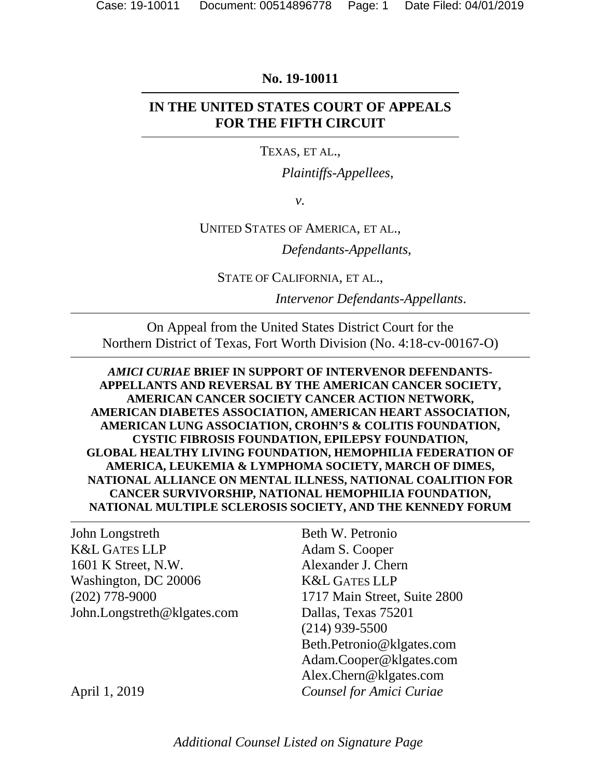#### **No. 19-10011**

## **IN THE UNITED STATES COURT OF APPEALS FOR THE FIFTH CIRCUIT**

#### TEXAS, ET AL.,

*Plaintiffs-Appellees*,

*v.*

#### UNITED STATES OF AMERICA, ET AL.,

*Defendants-Appellants*,

STATE OF CALIFORNIA, ET AL.,

*Intervenor Defendants-Appellants*.

On Appeal from the United States District Court for the Northern District of Texas, Fort Worth Division (No. 4:18-cv-00167-O)

*AMICI CURIAE* **BRIEF IN SUPPORT OF INTERVENOR DEFENDANTS-APPELLANTS AND REVERSAL BY THE AMERICAN CANCER SOCIETY, AMERICAN CANCER SOCIETY CANCER ACTION NETWORK, AMERICAN DIABETES ASSOCIATION, AMERICAN HEART ASSOCIATION, AMERICAN LUNG ASSOCIATION, CROHN'S & COLITIS FOUNDATION, CYSTIC FIBROSIS FOUNDATION, EPILEPSY FOUNDATION, GLOBAL HEALTHY LIVING FOUNDATION, HEMOPHILIA FEDERATION OF AMERICA, LEUKEMIA & LYMPHOMA SOCIETY, MARCH OF DIMES, NATIONAL ALLIANCE ON MENTAL ILLNESS, NATIONAL COALITION FOR CANCER SURVIVORSHIP, NATIONAL HEMOPHILIA FOUNDATION, NATIONAL MULTIPLE SCLEROSIS SOCIETY, AND THE KENNEDY FORUM** 

John Longstreth K&L GATES LLP 1601 K Street, N.W. Washington, DC 20006 (202) 778-9000 John.Longstreth@klgates.com

Beth W. Petronio Adam S. Cooper Alexander J. Chern K&L GATES LLP 1717 Main Street, Suite 2800 Dallas, Texas 75201 (214) 939-5500 Beth.Petronio@klgates.com Adam.Cooper@klgates.com Alex.Chern@klgates.com *Counsel for Amici Curiae*

April 1, 2019

*Additional Counsel Listed on Signature Page*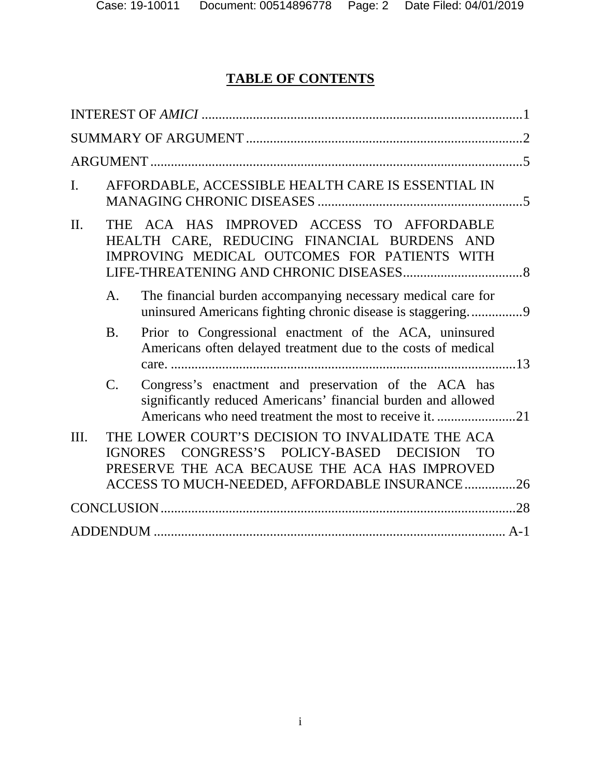# **TABLE OF CONTENTS**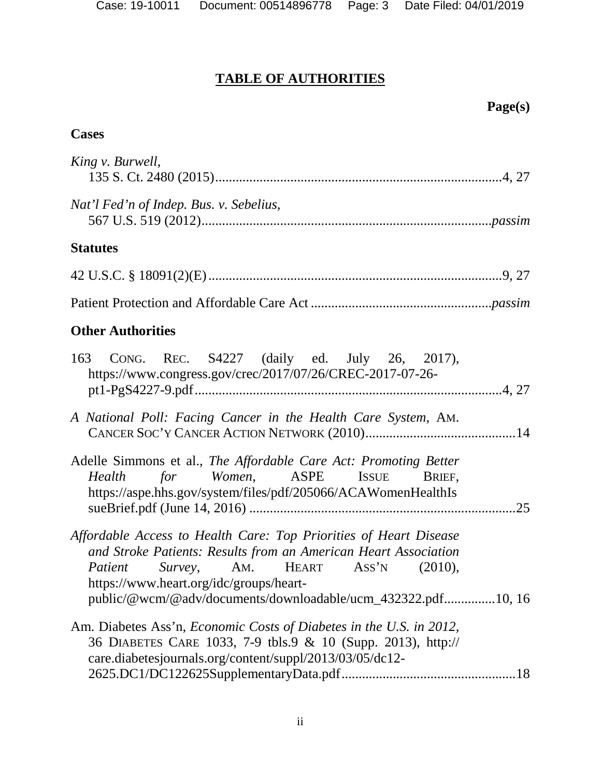## **TABLE OF AUTHORITIES**

## **Cases**

| King v. Burwell,                                                                                                                                                                                                                                                                                     |
|------------------------------------------------------------------------------------------------------------------------------------------------------------------------------------------------------------------------------------------------------------------------------------------------------|
| Nat'l Fed'n of Indep. Bus. v. Sebelius,                                                                                                                                                                                                                                                              |
| <b>Statutes</b>                                                                                                                                                                                                                                                                                      |
|                                                                                                                                                                                                                                                                                                      |
|                                                                                                                                                                                                                                                                                                      |
| <b>Other Authorities</b>                                                                                                                                                                                                                                                                             |
| 163 CONG. REC. S4227 (daily ed. July 26, 2017),<br>https://www.congress.gov/crec/2017/07/26/CREC-2017-07-26-                                                                                                                                                                                         |
| A National Poll: Facing Cancer in the Health Care System, AM.                                                                                                                                                                                                                                        |
| Adelle Simmons et al., The Affordable Care Act: Promoting Better<br><i>Women</i> , ASPE ISSUE<br>Health<br>for<br>BRIEF.<br>https://aspe.hhs.gov/system/files/pdf/205066/ACAWomenHealthIs<br>.25                                                                                                     |
| Affordable Access to Health Care: Top Priorities of Heart Disease<br>and Stroke Patients: Results from an American Heart Association<br><i>Patient</i> Survey, AM. HEART ASS'N<br>(2010),<br>https://www.heart.org/idc/groups/heart-<br>public/@wcm/@adv/documents/downloadable/ucm_432322.pdf10, 16 |
| Am. Diabetes Ass'n, <i>Economic Costs of Diabetes in the U.S. in 2012</i> ,<br>36 DIABETES CARE 1033, 7-9 tbls.9 & 10 (Supp. 2013), http://<br>care.diabetesjournals.org/content/suppl/2013/03/05/dc12-                                                                                              |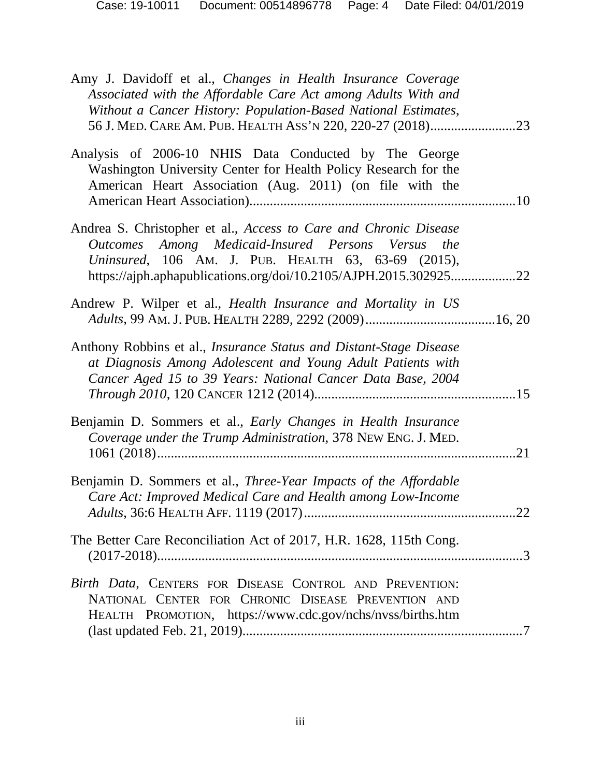| Amy J. Davidoff et al., Changes in Health Insurance Coverage<br>Associated with the Affordable Care Act among Adults With and<br>Without a Cancer History: Population-Based National Estimates,<br>56 J. MED. CARE AM. PUB. HEALTH ASS'N 220, 220-27 (2018)23 |     |
|---------------------------------------------------------------------------------------------------------------------------------------------------------------------------------------------------------------------------------------------------------------|-----|
| Analysis of 2006-10 NHIS Data Conducted by The George<br>Washington University Center for Health Policy Research for the<br>American Heart Association (Aug. 2011) (on file with the                                                                          |     |
| Andrea S. Christopher et al., Access to Care and Chronic Disease<br>Outcomes Among Medicaid-Insured Persons Versus the<br>Uninsured, 106 AM. J. PUB. HEALTH 63, 63-69 (2015),<br>https://ajph.aphapublications.org/doi/10.2105/AJPH.2015.30292522             |     |
| Andrew P. Wilper et al., Health Insurance and Mortality in US                                                                                                                                                                                                 |     |
| Anthony Robbins et al., <i>Insurance Status and Distant-Stage Disease</i><br>at Diagnosis Among Adolescent and Young Adult Patients with<br>Cancer Aged 15 to 39 Years: National Cancer Data Base, 2004                                                       |     |
| Benjamin D. Sommers et al., Early Changes in Health Insurance<br>Coverage under the Trump Administration, 378 NEW ENG. J. MED.                                                                                                                                | .21 |
| Benjamin D. Sommers et al., Three-Year Impacts of the Affordable<br>Care Act: Improved Medical Care and Health among Low-Income                                                                                                                               |     |
| The Better Care Reconciliation Act of 2017, H.R. 1628, 115th Cong.                                                                                                                                                                                            |     |
| Birth Data, CENTERS FOR DISEASE CONTROL AND PREVENTION:<br>NATIONAL CENTER FOR CHRONIC DISEASE PREVENTION AND<br>HEALTH PROMOTION, https://www.cdc.gov/nchs/nvss/births.htm                                                                                   |     |
|                                                                                                                                                                                                                                                               |     |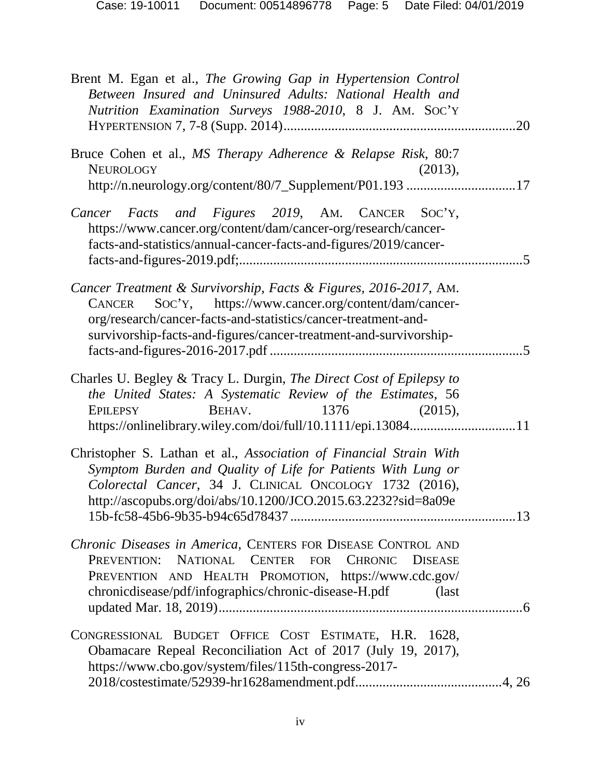| Case: 19-10011 | Document: 00514896778 | Page: 5 Date Filed: 04/01/2019 |
|----------------|-----------------------|--------------------------------|
|                |                       |                                |

| Brent M. Egan et al., The Growing Gap in Hypertension Control<br>Between Insured and Uninsured Adults: National Health and<br>Nutrition Examination Surveys 1988-2010, 8 J. AM. SOC'Y                                                                                  |  |
|------------------------------------------------------------------------------------------------------------------------------------------------------------------------------------------------------------------------------------------------------------------------|--|
| Bruce Cohen et al., MS Therapy Adherence & Relapse Risk, 80:7<br><b>NEUROLOGY</b><br>(2013),<br>http://n.neurology.org/content/80/7_Supplement/P01.193 17                                                                                                              |  |
| Cancer Facts and Figures 2019, AM. CANCER SOC'Y,<br>https://www.cancer.org/content/dam/cancer-org/research/cancer-<br>facts-and-statistics/annual-cancer-facts-and-figures/2019/cancer-                                                                                |  |
| Cancer Treatment & Survivorship, Facts & Figures, 2016-2017, AM.<br>Soc'y, https://www.cancer.org/content/dam/cancer-<br>CANCER<br>org/research/cancer-facts-and-statistics/cancer-treatment-and-<br>survivorship-facts-and-figures/cancer-treatment-and-survivorship- |  |
| Charles U. Begley & Tracy L. Durgin, The Direct Cost of Epilepsy to<br>the United States: A Systematic Review of the Estimates, 56<br>BEHAV.<br>$1376$ (2015),<br><b>EPILEPSY</b><br>https://onlinelibrary.wiley.com/doi/full/10.1111/epi.1308411                      |  |
| Christopher S. Lathan et al., Association of Financial Strain With<br>Symptom Burden and Quality of Life for Patients With Lung or<br>Colorectal Cancer, 34 J. CLINICAL ONCOLOGY 1732 (2016),<br>http://ascopubs.org/doi/abs/10.1200/JCO.2015.63.2232?sid=8a09e        |  |
| Chronic Diseases in America, CENTERS FOR DISEASE CONTROL AND<br>NATIONAL CENTER FOR CHRONIC<br><b>DISEASE</b><br>PREVENTION:<br>PREVENTION AND HEALTH PROMOTION, https://www.cdc.gov/<br>chronicdisease/pdf/infographics/chronic-disease-H.pdf<br>(last)               |  |
| CONGRESSIONAL BUDGET OFFICE COST ESTIMATE, H.R. 1628,<br>Obamacare Repeal Reconciliation Act of 2017 (July 19, 2017),<br>https://www.cbo.gov/system/files/115th-congress-2017-                                                                                         |  |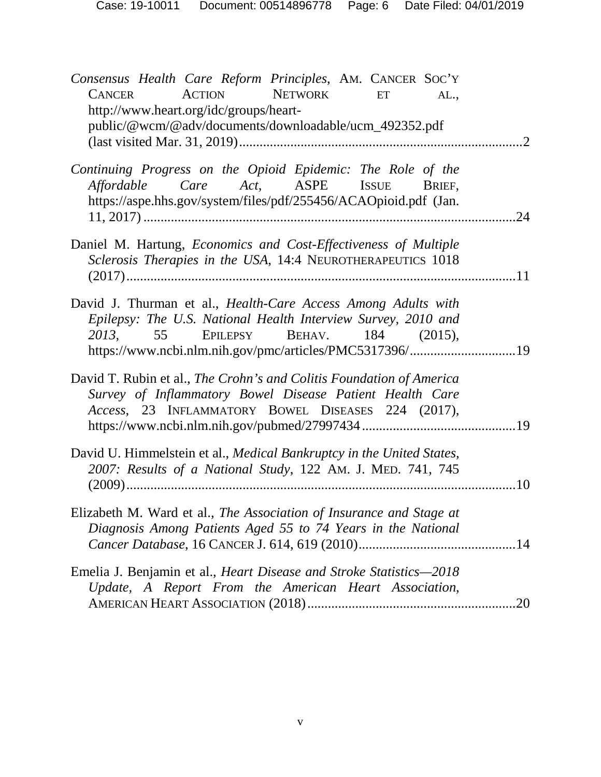| Consensus Health Care Reform Principles, AM. CANCER SOC'Y<br><b>ACTION</b><br><b>NETWORK</b><br><b>CANCER</b><br>ET<br>AL.,<br>http://www.heart.org/idc/groups/heart-                                                                    |                             |
|------------------------------------------------------------------------------------------------------------------------------------------------------------------------------------------------------------------------------------------|-----------------------------|
| public/@wcm/@adv/documents/downloadable/ucm_492352.pdf                                                                                                                                                                                   | $\mathcal{D}_{\mathcal{L}}$ |
| Continuing Progress on the Opioid Epidemic: The Role of the<br>Affordable Care Act, ASPE ISSUE<br>BRIEF,<br>https://aspe.hhs.gov/system/files/pdf/255456/ACAOpioid.pdf (Jan.                                                             | .24                         |
| Daniel M. Hartung, Economics and Cost-Effectiveness of Multiple<br>Sclerosis Therapies in the USA, 14:4 NEUROTHERAPEUTICS 1018                                                                                                           |                             |
| David J. Thurman et al., <i>Health-Care Access Among Adults with</i><br>Epilepsy: The U.S. National Health Interview Survey, 2010 and<br>2013, 55 EPILEPSY BEHAV. 184 (2015),<br>https://www.ncbi.nlm.nih.gov/pmc/articles/PMC5317396/19 |                             |
| David T. Rubin et al., The Crohn's and Colitis Foundation of America<br>Survey of Inflammatory Bowel Disease Patient Health Care<br>Access, 23 INFLAMMATORY BOWEL DISEASES 224 (2017),                                                   |                             |
| David U. Himmelstein et al., Medical Bankruptcy in the United States,<br>2007: Results of a National Study, 122 AM. J. MED. 741, 745                                                                                                     | .10                         |
| Elizabeth M. Ward et al., The Association of Insurance and Stage at<br>Diagnosis Among Patients Aged 55 to 74 Years in the National                                                                                                      |                             |
| Emelia J. Benjamin et al., Heart Disease and Stroke Statistics-2018<br>Update, A Report From the American Heart Association,                                                                                                             |                             |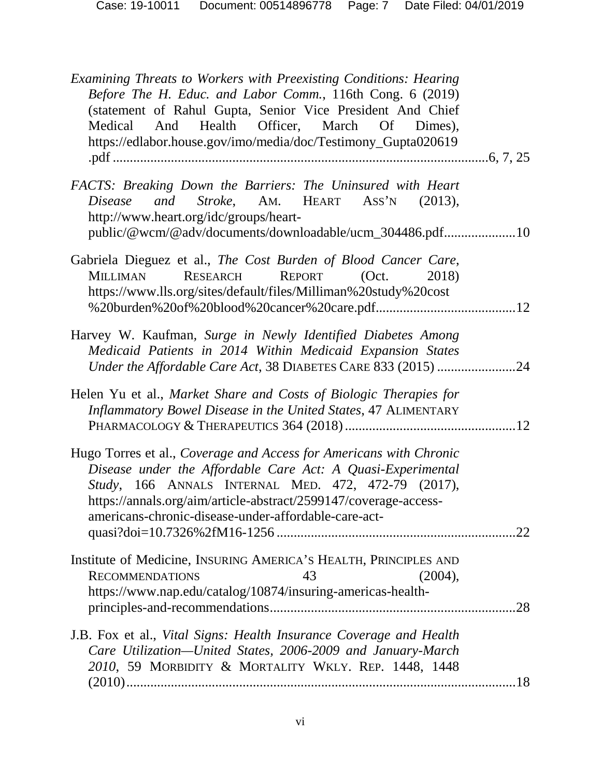| Examining Threats to Workers with Preexisting Conditions: Hearing<br>Before The H. Educ. and Labor Comm., 116th Cong. 6 (2019)<br>(statement of Rahul Gupta, Senior Vice President And Chief<br>Health Officer, March Of Dimes),<br>Medical<br>And<br>https://edlabor.house.gov/imo/media/doc/Testimony_Gupta020619  |  |
|----------------------------------------------------------------------------------------------------------------------------------------------------------------------------------------------------------------------------------------------------------------------------------------------------------------------|--|
| FACTS: Breaking Down the Barriers: The Uninsured with Heart<br>Disease and Stroke, AM. HEART ASS'N (2013),<br>http://www.heart.org/idc/groups/heart-<br>public/@wcm/@adv/documents/downloadable/ucm_304486.pdf10                                                                                                     |  |
| Gabriela Dieguez et al., The Cost Burden of Blood Cancer Care,<br>REPORT (Oct.<br>RESEARCH<br><b>MILLIMAN</b><br>2018)<br>https://www.lls.org/sites/default/files/Milliman%20study%20cost                                                                                                                            |  |
| Harvey W. Kaufman, Surge in Newly Identified Diabetes Among<br>Medicaid Patients in 2014 Within Medicaid Expansion States<br>Under the Affordable Care Act, 38 DIABETES CARE 833 (2015) 24                                                                                                                           |  |
| Helen Yu et al., Market Share and Costs of Biologic Therapies for<br>Inflammatory Bowel Disease in the United States, 47 ALIMENTARY                                                                                                                                                                                  |  |
| Hugo Torres et al., Coverage and Access for Americans with Chronic<br>Disease under the Affordable Care Act: A Quasi-Experimental<br>Study, 166 ANNALS INTERNAL MED. 472, 472-79 (2017),<br>https://annals.org/aim/article-abstract/2599147/coverage-access-<br>americans-chronic-disease-under-affordable-care-act- |  |
| Institute of Medicine, INSURING AMERICA'S HEALTH, PRINCIPLES AND<br><b>RECOMMENDATIONS</b><br>43<br>(2004),<br>https://www.nap.edu/catalog/10874/insuring-americas-health-                                                                                                                                           |  |
| J.B. Fox et al., Vital Signs: Health Insurance Coverage and Health<br>Care Utilization-United States, 2006-2009 and January-March<br>2010, 59 MORBIDITY & MORTALITY WKLY. REP. 1448, 1448                                                                                                                            |  |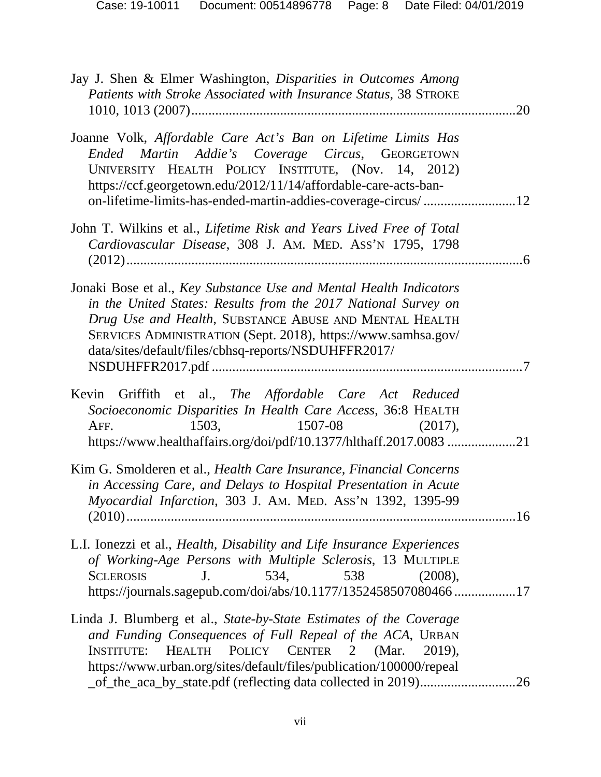| Case: 19-10011 | Document: 00514896778 | Page: 8 Date Filed: 04/01/2019 |
|----------------|-----------------------|--------------------------------|
|                |                       |                                |

| Jay J. Shen & Elmer Washington, Disparities in Outcomes Among<br>Patients with Stroke Associated with Insurance Status, 38 STROKE                                                                                                                                                                                                       | .20 |
|-----------------------------------------------------------------------------------------------------------------------------------------------------------------------------------------------------------------------------------------------------------------------------------------------------------------------------------------|-----|
| Joanne Volk, Affordable Care Act's Ban on Lifetime Limits Has<br>Ended Martin Addie's Coverage Circus, GEORGETOWN<br>UNIVERSITY HEALTH POLICY INSTITUTE, (Nov. 14, 2012)<br>https://ccf.georgetown.edu/2012/11/14/affordable-care-acts-ban-<br>on-lifetime-limits-has-ended-martin-addies-coverage-circus/12                            |     |
| John T. Wilkins et al., Lifetime Risk and Years Lived Free of Total<br>Cardiovascular Disease, 308 J. AM. MED. ASS'N 1795, 1798                                                                                                                                                                                                         | .6  |
| Jonaki Bose et al., Key Substance Use and Mental Health Indicators<br>in the United States: Results from the 2017 National Survey on<br>Drug Use and Health, SUBSTANCE ABUSE AND MENTAL HEALTH<br>SERVICES ADMINISTRATION (Sept. 2018), https://www.samhsa.gov/<br>data/sites/default/files/cbhsq-reports/NSDUHFFR2017/                 |     |
| Kevin Griffith et al., The Affordable Care Act Reduced<br>Socioeconomic Disparities In Health Care Access, 36:8 HEALTH<br>1503,<br>1507-08<br>AFF.<br>$(2017)$ ,<br>https://www.healthaffairs.org/doi/pdf/10.1377/hlthaff.2017.0083 21                                                                                                  |     |
| Kim G. Smolderen et al., Health Care Insurance, Financial Concerns<br>in Accessing Care, and Delays to Hospital Presentation in Acute<br>Myocardial Infarction, 303 J. AM. MED. ASS'N 1392, 1395-99                                                                                                                                     |     |
| L.I. Ionezzi et al., <i>Health, Disability and Life Insurance Experiences</i><br>of Working-Age Persons with Multiple Sclerosis, 13 MULTIPLE<br>534,<br>538<br><b>SCLEROSIS</b><br>(2008),<br>J <sub>1</sub><br>https://journals.sagepub.com/doi/abs/10.1177/1352458507080466 17                                                        |     |
| Linda J. Blumberg et al., State-by-State Estimates of the Coverage<br>and Funding Consequences of Full Repeal of the ACA, URBAN<br>HEALTH POLICY CENTER 2 (Mar.<br>2019),<br><b>INSTITUTE:</b><br>https://www.urban.org/sites/default/files/publication/100000/repeal<br>_of_the_aca_by_state.pdf (reflecting data collected in 2019)26 |     |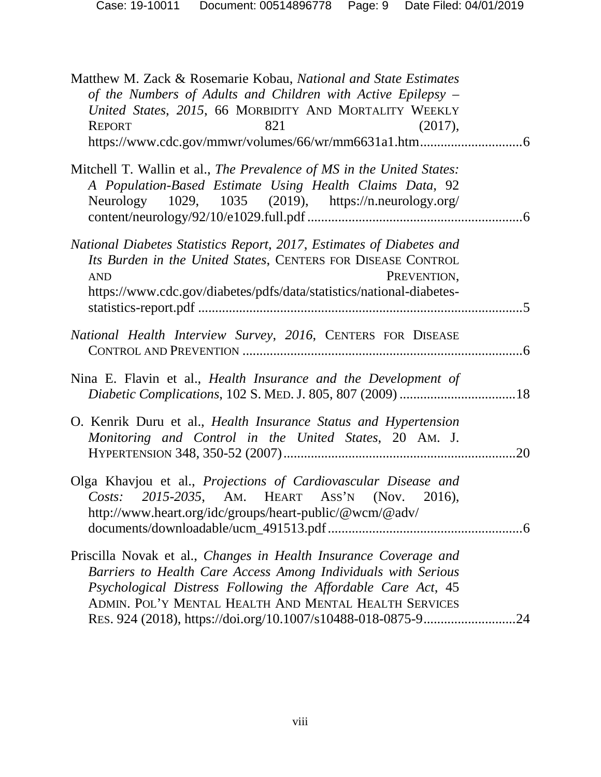| Matthew M. Zack & Rosemarie Kobau, National and State Estimates<br>of the Numbers of Adults and Children with Active Epilepsy –<br>United States, 2015, 66 MORBIDITY AND MORTALITY WEEKLY<br><b>REPORT</b><br>821<br>(2017),                               |     |
|------------------------------------------------------------------------------------------------------------------------------------------------------------------------------------------------------------------------------------------------------------|-----|
| Mitchell T. Wallin et al., The Prevalence of MS in the United States:<br>A Population-Based Estimate Using Health Claims Data, 92<br>Neurology 1029, 1035 (2019), https://n.neurology.org/                                                                 |     |
| National Diabetes Statistics Report, 2017, Estimates of Diabetes and<br>Its Burden in the United States, CENTERS FOR DISEASE CONTROL<br>PREVENTION,<br><b>AND</b><br>https://www.cdc.gov/diabetes/pdfs/data/statistics/national-diabetes-                  |     |
| National Health Interview Survey, 2016, CENTERS FOR DISEASE                                                                                                                                                                                                |     |
| Nina E. Flavin et al., <i>Health Insurance and the Development of</i>                                                                                                                                                                                      |     |
| O. Kenrik Duru et al., <i>Health Insurance Status and Hypertension</i><br>Monitoring and Control in the United States, 20 AM. J.                                                                                                                           | .20 |
| Olga Khavjou et al., Projections of Cardiovascular Disease and<br>Costs: 2015-2035, AM. HEART ASS'N (Nov. 2016),<br>http://www.heart.org/idc/groups/heart-public/@wcm/@adv/                                                                                |     |
| Priscilla Novak et al., Changes in Health Insurance Coverage and<br>Barriers to Health Care Access Among Individuals with Serious<br>Psychological Distress Following the Affordable Care Act, 45<br>ADMIN. POL'Y MENTAL HEALTH AND MENTAL HEALTH SERVICES |     |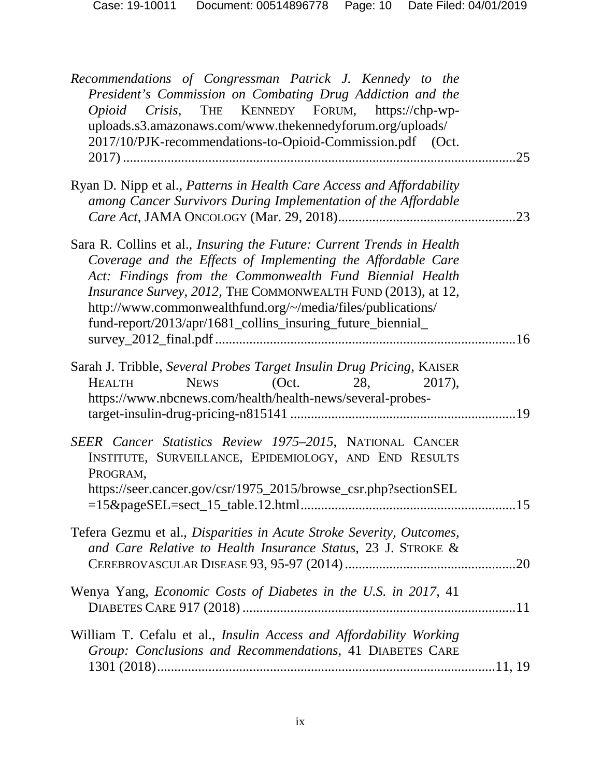| Recommendations of Congressman Patrick J. Kennedy to the<br>President's Commission on Combating Drug Addiction and the<br>Opioid Crisis, THE KENNEDY FORUM, https://chp-wp-<br>uploads.s3.amazonaws.com/www.thekennedyforum.org/uploads/<br>2017/10/PJK-recommendations-to-Opioid-Commission.pdf (Oct.                                                                                          | .25 |
|-------------------------------------------------------------------------------------------------------------------------------------------------------------------------------------------------------------------------------------------------------------------------------------------------------------------------------------------------------------------------------------------------|-----|
| Ryan D. Nipp et al., Patterns in Health Care Access and Affordability<br>among Cancer Survivors During Implementation of the Affordable                                                                                                                                                                                                                                                         | .23 |
| Sara R. Collins et al., Insuring the Future: Current Trends in Health<br>Coverage and the Effects of Implementing the Affordable Care<br>Act: Findings from the Commonwealth Fund Biennial Health<br>Insurance Survey, 2012, THE COMMONWEALTH FUND (2013), at 12,<br>http://www.commonwealthfund.org/~/media/files/publications/<br>fund-report/2013/apr/1681_collins_insuring_future_biennial_ |     |
| Sarah J. Tribble, Several Probes Target Insulin Drug Pricing, KAISER<br><b>NEWS</b><br>(Oct.<br>28,<br><b>HEALTH</b><br>2017),<br>https://www.nbcnews.com/health/health-news/several-probes-                                                                                                                                                                                                    |     |
| SEER Cancer Statistics Review 1975-2015, NATIONAL CANCER<br>INSTITUTE, SURVEILLANCE, EPIDEMIOLOGY, AND END RESULTS<br>PROGRAM.<br>https://seer.cancer.gov/csr/1975_2015/browse_csr.php?sectionSEL<br>$=15\&page \text{SEL} = \text{sect}\_15 \_ \text{table}.12 \_ \text{html} \dots \dots \dots \dots \dots \dots \dots \dots \dots$                                                           | 15  |
| Tefera Gezmu et al., Disparities in Acute Stroke Severity, Outcomes,<br>and Care Relative to Health Insurance Status, 23 J. STROKE &                                                                                                                                                                                                                                                            |     |
| Wenya Yang, Economic Costs of Diabetes in the U.S. in 2017, 41                                                                                                                                                                                                                                                                                                                                  |     |
| William T. Cefalu et al., Insulin Access and Affordability Working<br>Group: Conclusions and Recommendations, 41 DIABETES CARE                                                                                                                                                                                                                                                                  |     |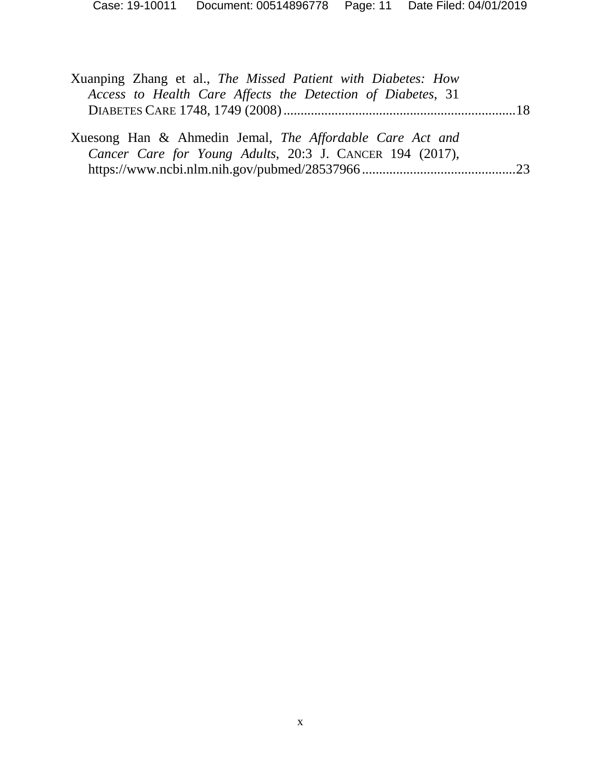| Xuanping Zhang et al., The Missed Patient with Diabetes: How |  |
|--------------------------------------------------------------|--|
| Access to Health Care Affects the Detection of Diabetes, 31  |  |
|                                                              |  |
|                                                              |  |
| Xuesong Han & Ahmedin Jemal, The Affordable Care Act and     |  |
| Cancer Care for Young Adults, 20:3 J. CANCER 194 (2017),     |  |
|                                                              |  |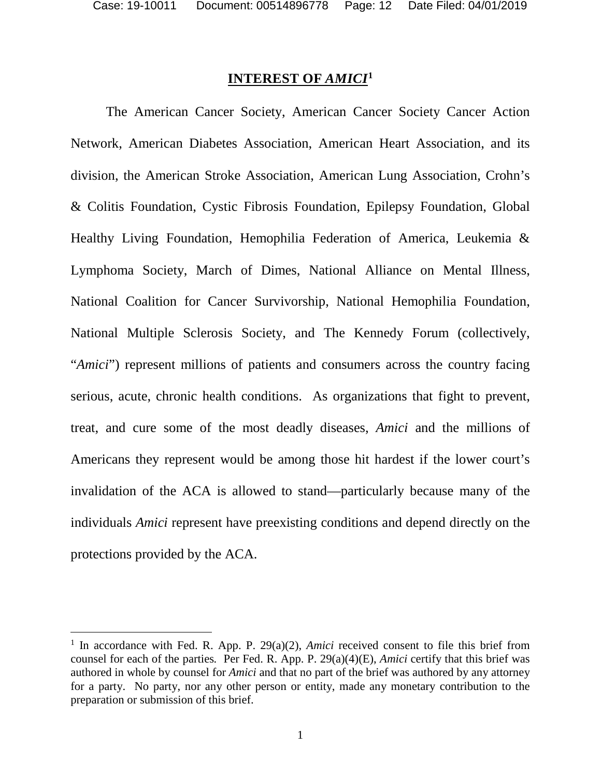#### **INTEREST OF** *AMICI***[1](#page-11-0)**

The American Cancer Society, American Cancer Society Cancer Action Network, American Diabetes Association, American Heart Association, and its division, the American Stroke Association, American Lung Association, Crohn's & Colitis Foundation, Cystic Fibrosis Foundation, Epilepsy Foundation, Global Healthy Living Foundation, Hemophilia Federation of America, Leukemia & Lymphoma Society, March of Dimes, National Alliance on Mental Illness, National Coalition for Cancer Survivorship, National Hemophilia Foundation, National Multiple Sclerosis Society, and The Kennedy Forum (collectively, "*Amici*") represent millions of patients and consumers across the country facing serious, acute, chronic health conditions. As organizations that fight to prevent, treat, and cure some of the most deadly diseases, *Amici* and the millions of Americans they represent would be among those hit hardest if the lower court's invalidation of the ACA is allowed to stand—particularly because many of the individuals *Amici* represent have preexisting conditions and depend directly on the protections provided by the ACA.

<span id="page-11-0"></span><sup>&</sup>lt;sup>1</sup> In accordance with Fed. R. App. P. 29(a)(2), *Amici* received consent to file this brief from counsel for each of the parties*.* Per Fed. R. App. P. 29(a)(4)(E), *Amici* certify that this brief was authored in whole by counsel for *Amici* and that no part of the brief was authored by any attorney for a party. No party, nor any other person or entity, made any monetary contribution to the preparation or submission of this brief.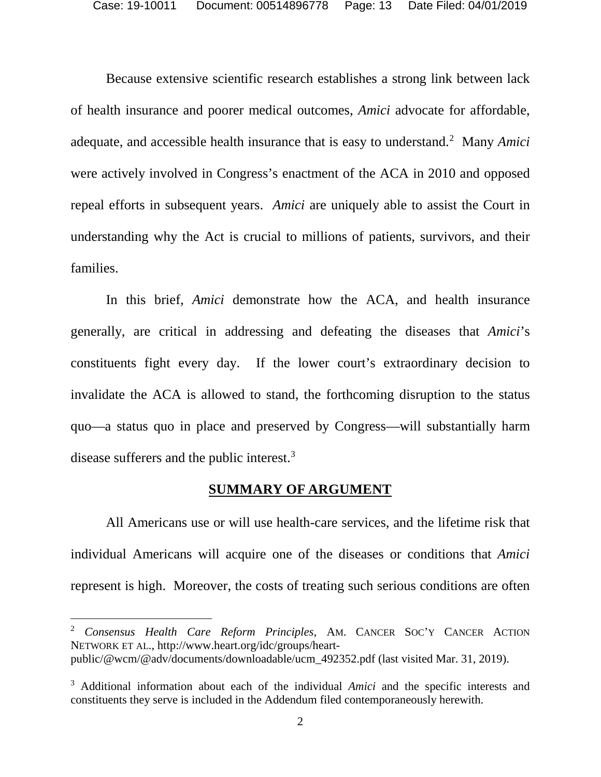Because extensive scientific research establishes a strong link between lack of health insurance and poorer medical outcomes, *Amici* advocate for affordable, adequate, and accessible health insurance that is easy to understand.<sup>[2](#page-12-1)</sup> Many Amici were actively involved in Congress's enactment of the ACA in 2010 and opposed repeal efforts in subsequent years. *Amici* are uniquely able to assist the Court in understanding why the Act is crucial to millions of patients, survivors, and their families.

In this brief, *Amici* demonstrate how the ACA, and health insurance generally, are critical in addressing and defeating the diseases that *Amici*'s constituents fight every day. If the lower court's extraordinary decision to invalidate the ACA is allowed to stand, the forthcoming disruption to the status quo—a status quo in place and preserved by Congress—will substantially harm disease sufferers and the public interest.<sup>3</sup>

#### **SUMMARY OF ARGUMENT**

All Americans use or will use health-care services, and the lifetime risk that individual Americans will acquire one of the diseases or conditions that *Amici* represent is high. Moreover, the costs of treating such serious conditions are often

<span id="page-12-1"></span><span id="page-12-0"></span> <sup>2</sup> *Consensus Health Care Reform Principles*, AM. CANCER SOC'Y CANCER ACTION NETWORK ET AL., http://www.heart.org/idc/groups/heartpublic/@wcm/@adv/documents/downloadable/ucm\_492352.pdf (last visited Mar. 31, 2019).

<span id="page-12-2"></span><sup>3</sup> Additional information about each of the individual *Amici* and the specific interests and constituents they serve is included in the Addendum filed contemporaneously herewith.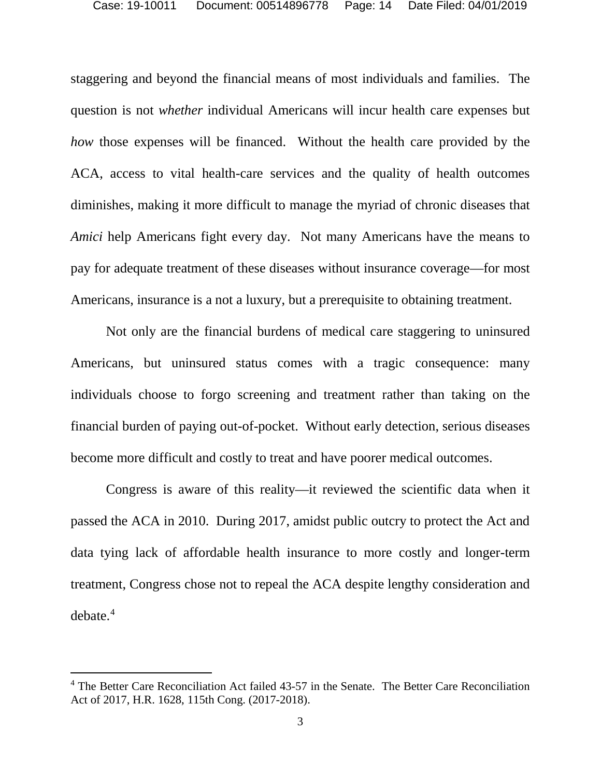staggering and beyond the financial means of most individuals and families. The question is not *whether* individual Americans will incur health care expenses but *how* those expenses will be financed. Without the health care provided by the ACA, access to vital health-care services and the quality of health outcomes diminishes, making it more difficult to manage the myriad of chronic diseases that *Amici* help Americans fight every day. Not many Americans have the means to pay for adequate treatment of these diseases without insurance coverage—for most Americans, insurance is a not a luxury, but a prerequisite to obtaining treatment.

Not only are the financial burdens of medical care staggering to uninsured Americans, but uninsured status comes with a tragic consequence: many individuals choose to forgo screening and treatment rather than taking on the financial burden of paying out-of-pocket. Without early detection, serious diseases become more difficult and costly to treat and have poorer medical outcomes.

Congress is aware of this reality—it reviewed the scientific data when it passed the ACA in 2010. During 2017, amidst public outcry to protect the Act and data tying lack of affordable health insurance to more costly and longer-term treatment, Congress chose not to repeal the ACA despite lengthy consideration and  $debate.<sup>4</sup>$  $debate.<sup>4</sup>$  $debate.<sup>4</sup>$ 

<span id="page-13-1"></span><span id="page-13-0"></span><sup>&</sup>lt;sup>4</sup> The Better Care Reconciliation Act failed 43-57 in the Senate. The Better Care Reconciliation Act of 2017, H.R. 1628, 115th Cong. (2017-2018).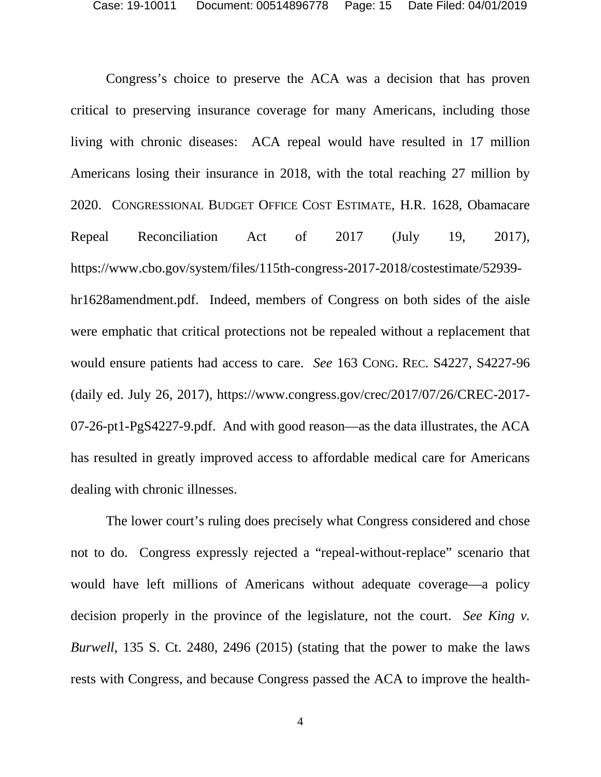<span id="page-14-2"></span>Congress's choice to preserve the ACA was a decision that has proven critical to preserving insurance coverage for many Americans, including those living with chronic diseases: ACA repeal would have resulted in 17 million Americans losing their insurance in 2018, with the total reaching 27 million by 2020. CONGRESSIONAL BUDGET OFFICE COST ESTIMATE, H.R. 1628, Obamacare Repeal Reconciliation Act of 2017 (July 19, 2017), https://www.cbo.gov/system/files/115th-congress-2017-2018/costestimate/52939 hr1628amendment.pdf. Indeed, members of Congress on both sides of the aisle were emphatic that critical protections not be repealed without a replacement that would ensure patients had access to care. *See* 163 CONG. REC. S4227, S4227-96 (daily ed. July 26, 2017), https://www.congress.gov/crec/2017/07/26/CREC-2017- 07-26-pt1-PgS4227-9.pdf. And with good reason—as the data illustrates, the ACA has resulted in greatly improved access to affordable medical care for Americans dealing with chronic illnesses.

<span id="page-14-1"></span><span id="page-14-0"></span>The lower court's ruling does precisely what Congress considered and chose not to do. Congress expressly rejected a "repeal-without-replace" scenario that would have left millions of Americans without adequate coverage—a policy decision properly in the province of the legislature, not the court. *See King v. Burwell*, 135 S. Ct. 2480, 2496 (2015) (stating that the power to make the laws rests with Congress, and because Congress passed the ACA to improve the health-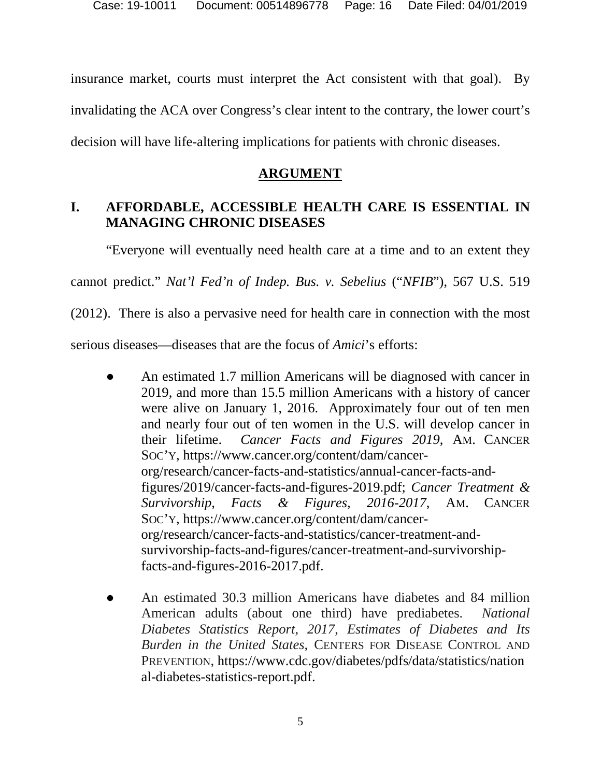insurance market, courts must interpret the Act consistent with that goal). By invalidating the ACA over Congress's clear intent to the contrary, the lower court's decision will have life-altering implications for patients with chronic diseases.

## **ARGUMENT**

## **I. AFFORDABLE, ACCESSIBLE HEALTH CARE IS ESSENTIAL IN MANAGING CHRONIC DISEASES**

<span id="page-15-0"></span>"Everyone will eventually need health care at a time and to an extent they

cannot predict." *Nat'l Fed'n of Indep. Bus. v. Sebelius* ("*NFIB*"), 567 U.S. 519

(2012). There is also a pervasive need for health care in connection with the most

serious diseases—diseases that are the focus of *Amici*'s efforts:

- <span id="page-15-2"></span><span id="page-15-1"></span>An estimated 1.7 million Americans will be diagnosed with cancer in 2019, and more than 15.5 million Americans with a history of cancer were alive on January 1, 2016. Approximately four out of ten men and nearly four out of ten women in the U.S. will develop cancer in their lifetime. *Cancer Facts and Figures 2019*, AM. CANCER SOC'Y, https://www.cancer.org/content/dam/cancerorg/research/cancer-facts-and-statistics/annual-cancer-facts-andfigures/2019/cancer-facts-and-figures-2019.pdf; *Cancer Treatment & Survivorship, Facts & Figures, 2016-2017*, AM. CANCER SOC'Y, https://www.cancer.org/content/dam/cancerorg/research/cancer-facts-and-statistics/cancer-treatment-andsurvivorship-facts-and-figures/cancer-treatment-and-survivorshipfacts-and-figures-2016-2017.pdf.
- <span id="page-15-3"></span>An estimated 30.3 million Americans have diabetes and 84 million American adults (about one third) have prediabetes. *National Diabetes Statistics Report*, *2017*, *Estimates of Diabetes and Its Burden in the United States*, CENTERS FOR DISEASE CONTROL AND PREVENTION, https://www.cdc.gov/diabetes/pdfs/data/statistics/nation al-diabetes-statistics-report.pdf.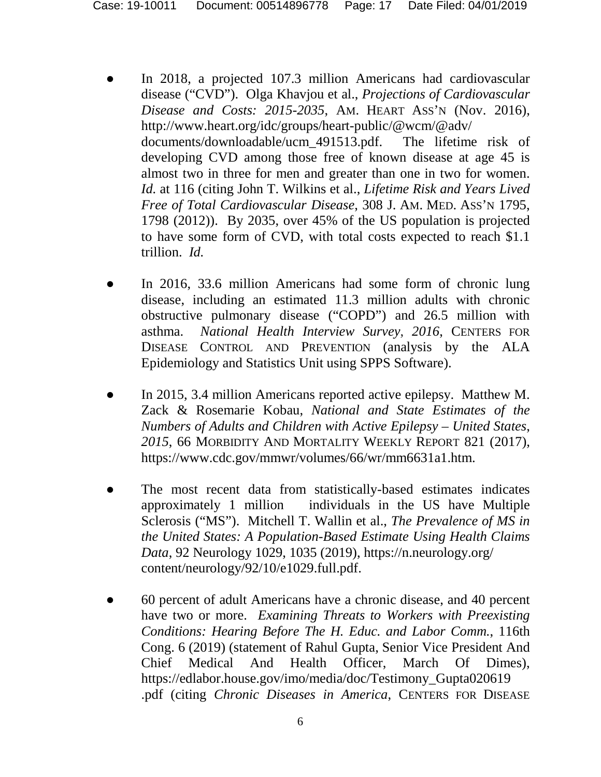- <span id="page-16-6"></span>In 2018, a projected 107.3 million Americans had cardiovascular disease ("CVD"). Olga Khavjou et al., *Projections of Cardiovascular Disease and Costs: 2015-2035*, AM. HEART ASS'N (Nov. 2016), http://www.heart.org/idc/groups/heart-public/@wcm/@adv/ documents/downloadable/ucm\_491513.pdf. The lifetime risk of developing CVD among those free of known disease at age 45 is almost two in three for men and greater than one in two for women. *Id.* at 116 (citing John T. Wilkins et al., *Lifetime Risk and Years Lived Free of Total Cardiovascular Disease*, 308 J. AM. MED. ASS'N 1795, 1798 (2012)). By 2035, over 45% of the US population is projected to have some form of CVD, with total costs expected to reach \$1.1 trillion. *Id.*
- <span id="page-16-5"></span><span id="page-16-2"></span>In 2016, 33.6 million Americans had some form of chronic lung disease, including an estimated 11.3 million adults with chronic obstructive pulmonary disease ("COPD") and 26.5 million with asthma. *National Health Interview Survey*, *2016*, CENTERS FOR DISEASE CONTROL AND PREVENTION (analysis by the ALA Epidemiology and Statistics Unit using SPPS Software).
- <span id="page-16-3"></span>In 2015, 3.4 million Americans reported active epilepsy. Matthew M. Zack & Rosemarie Kobau, *National and State Estimates of the Numbers of Adults and Children with Active Epilepsy – United States*, *2015*, 66 MORBIDITY AND MORTALITY WEEKLY REPORT 821 (2017), https://www.cdc.gov/mmwr/volumes/66/wr/mm6631a1.htm.
- <span id="page-16-4"></span>The most recent data from statistically-based estimates indicates approximately 1 million individuals in the US have Multiple Sclerosis ("MS"). Mitchell T. Wallin et al., *The Prevalence of MS in the United States: A Population-Based Estimate Using Health Claims Data*, 92 Neurology 1029, 1035 (2019), https://n.neurology.org/ content/neurology/92/10/e1029.full.pdf.
- <span id="page-16-1"></span><span id="page-16-0"></span>● 60 percent of adult Americans have a chronic disease, and 40 percent have two or more. *Examining Threats to Workers with Preexisting Conditions: Hearing Before The H. Educ. and Labor Comm.*, 116th Cong. 6 (2019) (statement of Rahul Gupta, Senior Vice President And Chief Medical And Health Officer, March Of Dimes), [https://edlabor.house.gov/imo/media/doc/Testimony\\_Gupta020619](https://edlabor.house.gov/imo/media/doc/Testimony_Gupta020619) .pdf (citing *Chronic Diseases in America*, CENTERS FOR DISEASE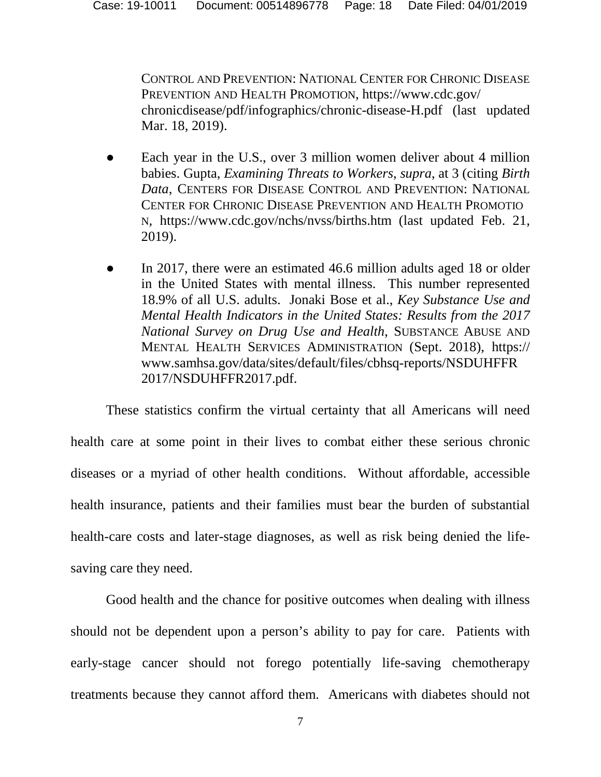<span id="page-17-0"></span>CONTROL AND PREVENTION: NATIONAL CENTER FOR CHRONIC DISEASE PREVENTION AND HEALTH PROMOTION, https://www.cdc.gov/ chronicdisease/pdf/infographics/chronic-disease-H.pdf (last updated Mar. 18, 2019).

- <span id="page-17-1"></span>Each year in the U.S., over 3 million women deliver about 4 million babies. Gupta, *Examining Threats to Workers*, *supra*, at 3 (citing *Birth Data*, CENTERS FOR DISEASE CONTROL AND PREVENTION: NATIONAL CENTER FOR CHRONIC DISEASE PREVENTION AND HEALTH PROMOTIO N, https://www.cdc.gov/nchs/nvss/births.htm (last updated Feb. 21, 2019).
- <span id="page-17-2"></span>In 2017, there were an estimated 46.6 million adults aged 18 or older in the United States with mental illness. This number represented 18.9% of all U.S. adults. Jonaki Bose et al., *Key Substance Use and Mental Health Indicators in the United States: Results from the 2017 National Survey on Drug Use and Health*, SUBSTANCE ABUSE AND MENTAL HEALTH SERVICES ADMINISTRATION (Sept. 2018), https:// www.samhsa.gov/data/sites/default/files/cbhsq-reports/NSDUHFFR 2017/NSDUHFFR2017.pdf.

These statistics confirm the virtual certainty that all Americans will need health care at some point in their lives to combat either these serious chronic diseases or a myriad of other health conditions. Without affordable, accessible health insurance, patients and their families must bear the burden of substantial health-care costs and later-stage diagnoses, as well as risk being denied the lifesaving care they need.

Good health and the chance for positive outcomes when dealing with illness should not be dependent upon a person's ability to pay for care. Patients with early-stage cancer should not forego potentially life-saving chemotherapy treatments because they cannot afford them. Americans with diabetes should not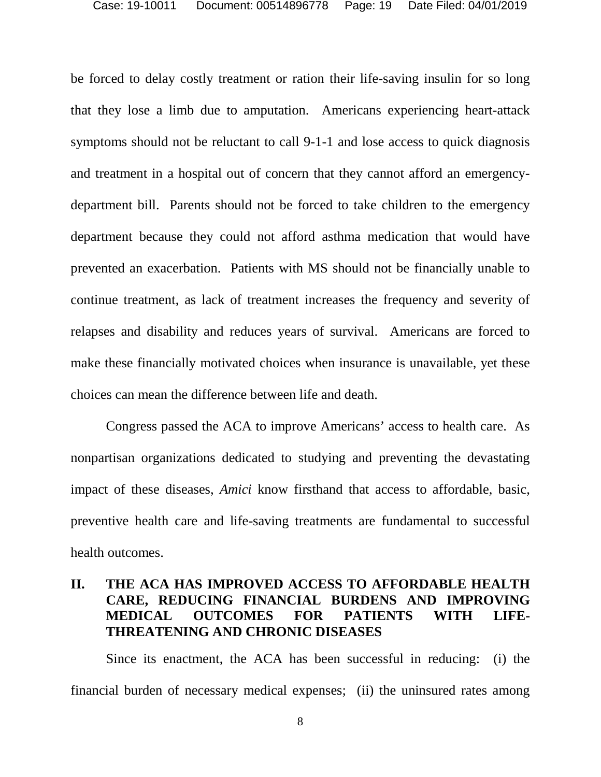be forced to delay costly treatment or ration their life-saving insulin for so long that they lose a limb due to amputation. Americans experiencing heart-attack symptoms should not be reluctant to call 9-1-1 and lose access to quick diagnosis and treatment in a hospital out of concern that they cannot afford an emergencydepartment bill. Parents should not be forced to take children to the emergency department because they could not afford asthma medication that would have prevented an exacerbation. Patients with MS should not be financially unable to continue treatment, as lack of treatment increases the frequency and severity of relapses and disability and reduces years of survival. Americans are forced to make these financially motivated choices when insurance is unavailable, yet these choices can mean the difference between life and death.

Congress passed the ACA to improve Americans' access to health care. As nonpartisan organizations dedicated to studying and preventing the devastating impact of these diseases, *Amici* know firsthand that access to affordable, basic, preventive health care and life-saving treatments are fundamental to successful health outcomes.

### **II. THE ACA HAS IMPROVED ACCESS TO AFFORDABLE HEALTH CARE, REDUCING FINANCIAL BURDENS AND IMPROVING MEDICAL OUTCOMES FOR PATIENTS WITH LIFE-THREATENING AND CHRONIC DISEASES**

Since its enactment, the ACA has been successful in reducing: (i) the financial burden of necessary medical expenses; (ii) the uninsured rates among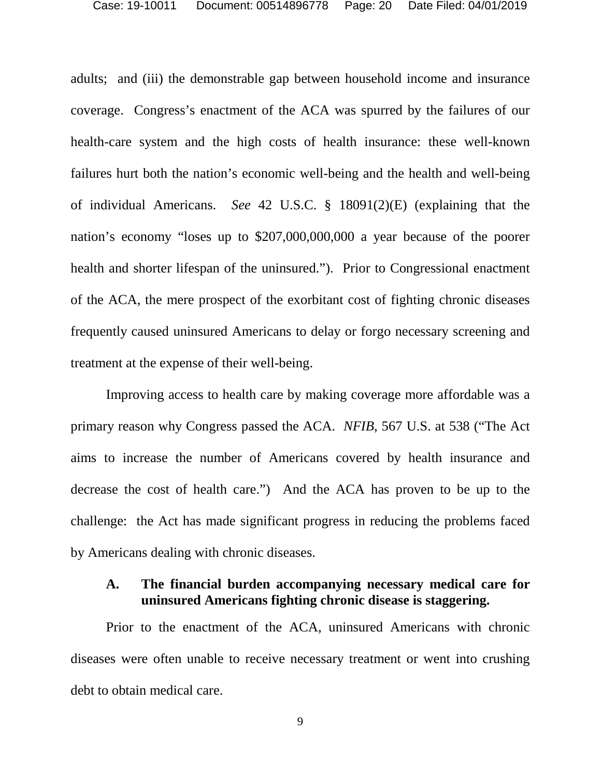<span id="page-19-0"></span>adults; and (iii) the demonstrable gap between household income and insurance coverage. Congress's enactment of the ACA was spurred by the failures of our health-care system and the high costs of health insurance: these well-known failures hurt both the nation's economic well-being and the health and well-being of individual Americans. *See* 42 U.S.C. § 18091(2)(E) (explaining that the nation's economy "loses up to \$207,000,000,000 a year because of the poorer health and shorter lifespan of the uninsured."). Prior to Congressional enactment of the ACA, the mere prospect of the exorbitant cost of fighting chronic diseases frequently caused uninsured Americans to delay or forgo necessary screening and treatment at the expense of their well-being.

Improving access to health care by making coverage more affordable was a primary reason why Congress passed the ACA. *NFIB*, 567 U.S. at 538 ("The Act aims to increase the number of Americans covered by health insurance and decrease the cost of health care.") And the ACA has proven to be up to the challenge: the Act has made significant progress in reducing the problems faced by Americans dealing with chronic diseases.

#### **A. The financial burden accompanying necessary medical care for uninsured Americans fighting chronic disease is staggering.**

Prior to the enactment of the ACA, uninsured Americans with chronic diseases were often unable to receive necessary treatment or went into crushing debt to obtain medical care.

9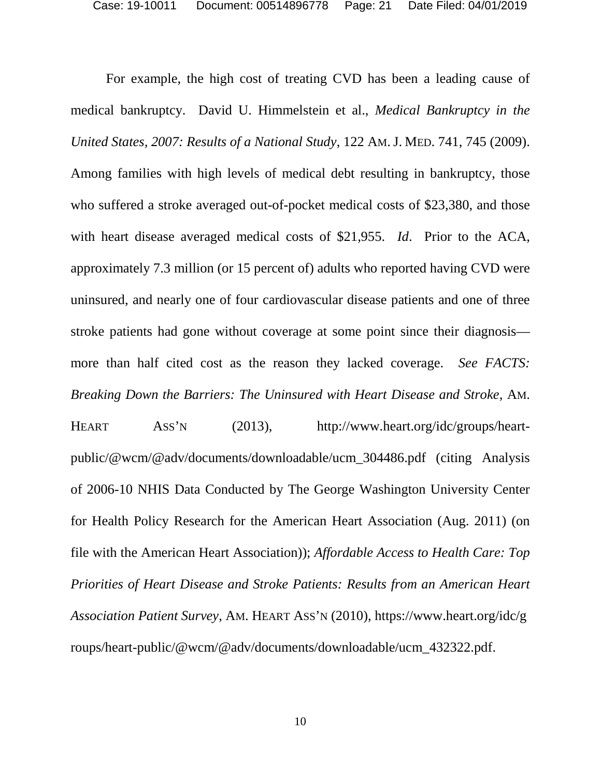<span id="page-20-2"></span>For example, the high cost of treating CVD has been a leading cause of medical bankruptcy. David U. Himmelstein et al., *Medical Bankruptcy in the United States, 2007: Results of a National Study*, 122 AM.J. MED. 741, 745 (2009). Among families with high levels of medical debt resulting in bankruptcy, those who suffered a stroke averaged out-of-pocket medical costs of \$23,380, and those with heart disease averaged medical costs of \$21,955. *Id*.Prior to the ACA, approximately 7.3 million (or 15 percent of) adults who reported having CVD were uninsured, and nearly one of four cardiovascular disease patients and one of three stroke patients had gone without coverage at some point since their diagnosis more than half cited cost as the reason they lacked coverage. *See FACTS: Breaking Down the Barriers: The Uninsured with Heart Disease and Stroke*, AM.

<span id="page-20-3"></span><span id="page-20-1"></span><span id="page-20-0"></span>HEART ASS'N (2013), http://www.heart.org/idc/groups/heartpublic/@wcm/@adv/documents/downloadable/ucm\_304486.pdf (citing Analysis of 2006-10 NHIS Data Conducted by The George Washington University Center for Health Policy Research for the American Heart Association (Aug. 2011) (on file with the American Heart Association)); *Affordable Access to Health Care: Top Priorities of Heart Disease and Stroke Patients: Results from an American Heart Association Patient Survey*, AM. HEART ASS'N (2010), https://www.heart.org/idc/g roups/heart-public/@wcm/@adv/documents/downloadable/ucm\_432322.pdf.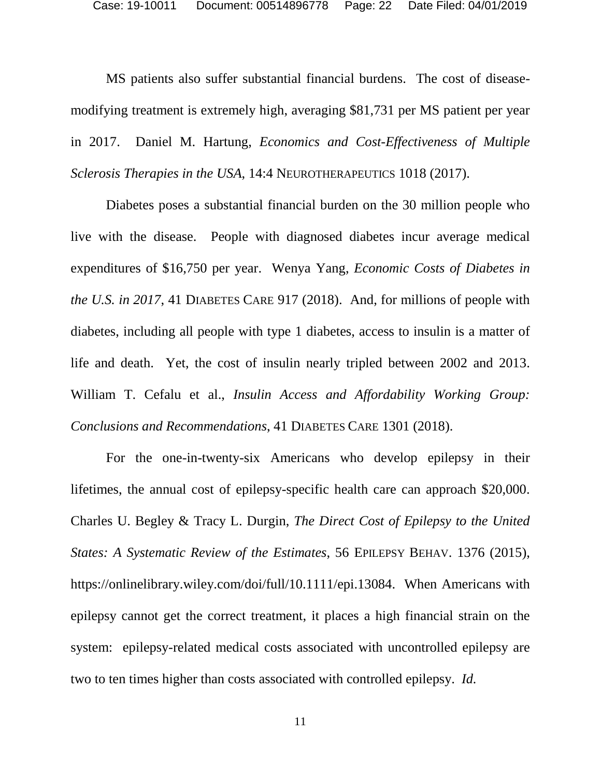<span id="page-21-1"></span>MS patients also suffer substantial financial burdens. The cost of diseasemodifying treatment is extremely high, averaging \$81,731 per MS patient per year in 2017. Daniel M. Hartung, *Economics and Cost-Effectiveness of Multiple Sclerosis Therapies in the USA*, 14:4 NEUROTHERAPEUTICS 1018 (2017).

<span id="page-21-2"></span>Diabetes poses a substantial financial burden on the 30 million people who live with the disease. People with diagnosed diabetes incur average medical expenditures of \$16,750 per year. Wenya Yang, *Economic Costs of Diabetes in the U.S. in 2017*, 41 DIABETES CARE 917 (2018). And, for millions of people with diabetes, including all people with type 1 diabetes, access to insulin is a matter of life and death. Yet, the cost of insulin nearly tripled between 2002 and 2013. William T. Cefalu et al., *Insulin Access and Affordability Working Group: Conclusions and Recommendations*, 41 DIABETES CARE 1301 (2018).

<span id="page-21-3"></span><span id="page-21-0"></span>For the one-in-twenty-six Americans who develop epilepsy in their lifetimes, the annual cost of epilepsy-specific health care can approach \$20,000. Charles U. Begley & Tracy L. Durgin, *The Direct Cost of Epilepsy to the United States: A Systematic Review of the Estimates*, 56 EPILEPSY BEHAV. 1376 (2015), https://onlinelibrary.wiley.com/doi/full/10.1111/epi.13084. When Americans with epilepsy cannot get the correct treatment, it places a high financial strain on the system: epilepsy-related medical costs associated with uncontrolled epilepsy are two to ten times higher than costs associated with controlled epilepsy. *Id.*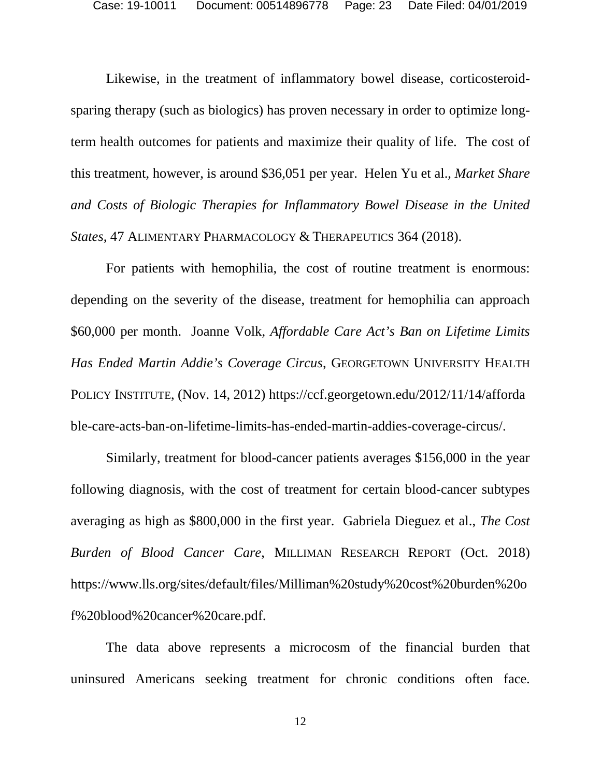<span id="page-22-1"></span>Likewise, in the treatment of inflammatory bowel disease, corticosteroidsparing therapy (such as biologics) has proven necessary in order to optimize longterm health outcomes for patients and maximize their quality of life. The cost of this treatment, however, is around \$36,051 per year. Helen Yu et al., *Market Share and Costs of Biologic Therapies for Inflammatory Bowel Disease in the United States*, 47 ALIMENTARY PHARMACOLOGY & THERAPEUTICS 364 (2018).

<span id="page-22-2"></span>For patients with hemophilia, the cost of routine treatment is enormous: depending on the severity of the disease, treatment for hemophilia can approach \$60,000 per month. Joanne Volk, *Affordable Care Act's Ban on Lifetime Limits Has Ended Martin Addie's Coverage Circus*, GEORGETOWN UNIVERSITY HEALTH POLICY INSTITUTE, (Nov. 14, 2012) https://ccf.georgetown.edu/2012/11/14/afforda ble-care-acts-ban-on-lifetime-limits-has-ended-martin-addies-coverage-circus/.

Similarly, treatment for blood-cancer patients averages \$156,000 in the year following diagnosis, with the cost of treatment for certain blood-cancer subtypes averaging as high as \$800,000 in the first year. Gabriela Dieguez et al., *The Cost Burden of Blood Cancer Care*, MILLIMAN RESEARCH REPORT (Oct. 2018) https://www.lls.org/sites/default/files/Milliman%20study%20cost%20burden%20o f%20blood%20cancer%20care.pdf.

The data above represents a microcosm of the financial burden that uninsured Americans seeking treatment for chronic conditions often face.

<span id="page-22-0"></span>12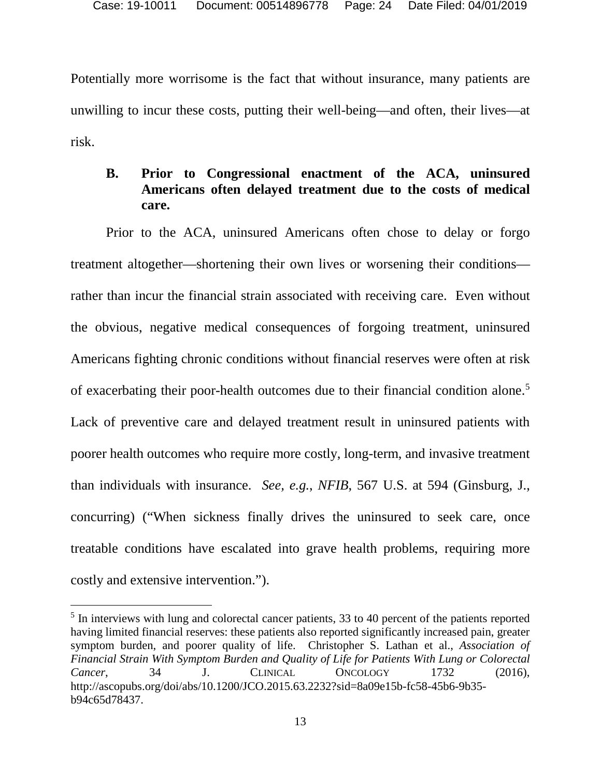Potentially more worrisome is the fact that without insurance, many patients are unwilling to incur these costs, putting their well-being—and often, their lives—at risk.

#### **B. Prior to Congressional enactment of the ACA, uninsured Americans often delayed treatment due to the costs of medical care.**

Prior to the ACA, uninsured Americans often chose to delay or forgo treatment altogether—shortening their own lives or worsening their conditions rather than incur the financial strain associated with receiving care. Even without the obvious, negative medical consequences of forgoing treatment, uninsured Americans fighting chronic conditions without financial reserves were often at risk of exacerbating their poor-health outcomes due to their financial condition alone.<sup>5</sup> Lack of preventive care and delayed treatment result in uninsured patients with poorer health outcomes who require more costly, long-term, and invasive treatment than individuals with insurance. *See, e.g.*, *NFIB*, 567 U.S. at 594 (Ginsburg, J., concurring) ("When sickness finally drives the uninsured to seek care, once treatable conditions have escalated into grave health problems, requiring more costly and extensive intervention.").

<span id="page-23-1"></span><span id="page-23-0"></span><sup>&</sup>lt;sup>5</sup> In interviews with lung and colorectal cancer patients, 33 to 40 percent of the patients reported having limited financial reserves: these patients also reported significantly increased pain, greater symptom burden, and poorer quality of life. Christopher S. Lathan et al., *Association of Financial Strain With Symptom Burden and Quality of Life for Patients With Lung or Colorectal Cancer*, 34 J. CLINICAL ONCOLOGY 1732 (2016), http://ascopubs.org/doi/abs/10.1200/JCO.2015.63.2232?sid=8a09e15b-fc58-45b6-9b35 b94c65d78437.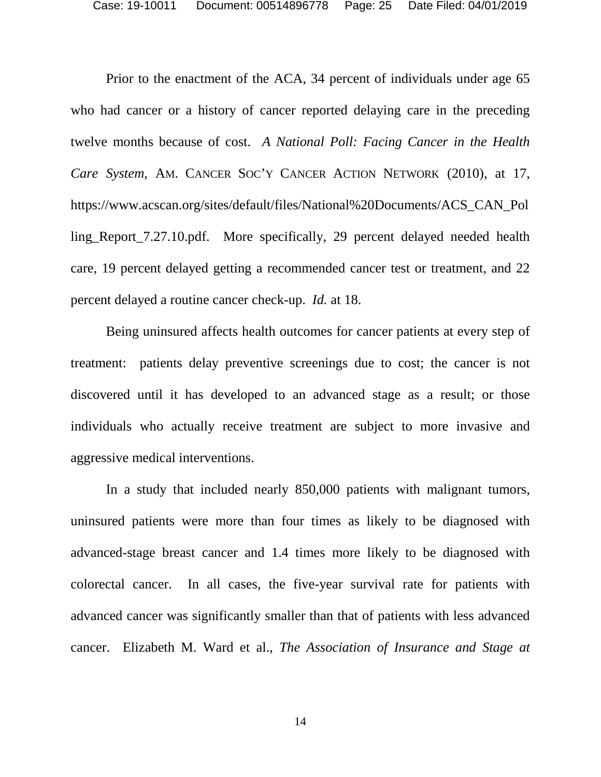<span id="page-24-0"></span>Prior to the enactment of the ACA, 34 percent of individuals under age 65 who had cancer or a history of cancer reported delaying care in the preceding twelve months because of cost. *A National Poll: Facing Cancer in the Health Care System*, AM. CANCER SOC'Y CANCER ACTION NETWORK (2010), at 17, https://www.acscan.org/sites/default/files/National%20Documents/ACS\_CAN\_Pol ling\_Report\_7.27.10.pdf. More specifically, 29 percent delayed needed health care, 19 percent delayed getting a recommended cancer test or treatment, and 22 percent delayed a routine cancer check-up. *Id.* at 18.

Being uninsured affects health outcomes for cancer patients at every step of treatment: patients delay preventive screenings due to cost; the cancer is not discovered until it has developed to an advanced stage as a result; or those individuals who actually receive treatment are subject to more invasive and aggressive medical interventions.

<span id="page-24-1"></span>In a study that included nearly 850,000 patients with malignant tumors, uninsured patients were more than four times as likely to be diagnosed with advanced-stage breast cancer and 1.4 times more likely to be diagnosed with colorectal cancer. In all cases, the five-year survival rate for patients with advanced cancer was significantly smaller than that of patients with less advanced cancer. Elizabeth M. Ward et al., *The Association of Insurance and Stage at* 

14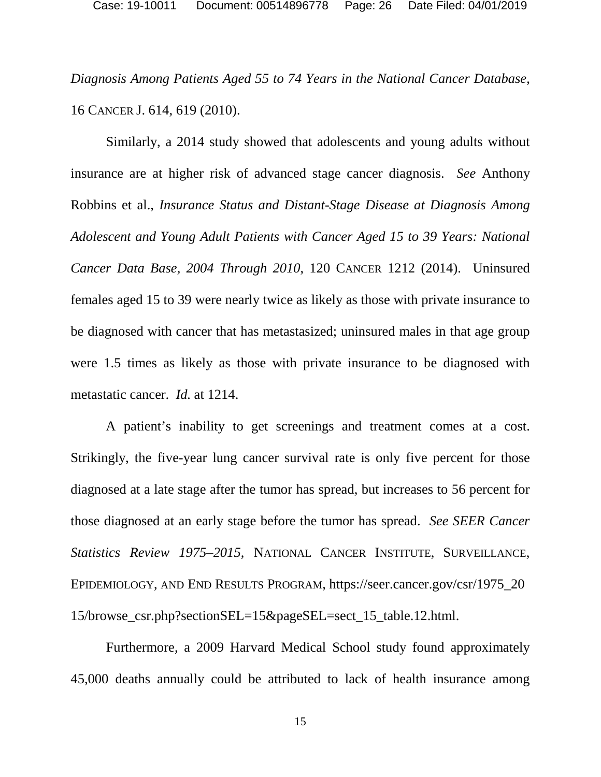*Diagnosis Among Patients Aged 55 to 74 Years in the National Cancer Database*, 16 CANCER J. 614, 619 (2010).

<span id="page-25-0"></span>Similarly, a 2014 study showed that adolescents and young adults without insurance are at higher risk of advanced stage cancer diagnosis. *See* Anthony Robbins et al., *Insurance Status and Distant-Stage Disease at Diagnosis Among Adolescent and Young Adult Patients with Cancer Aged 15 to 39 Years: National Cancer Data Base, 2004 Through 2010*, 120 CANCER 1212 (2014). Uninsured females aged 15 to 39 were nearly twice as likely as those with private insurance to be diagnosed with cancer that has metastasized; uninsured males in that age group were 1.5 times as likely as those with private insurance to be diagnosed with metastatic cancer. *Id.* at 1214.

<span id="page-25-1"></span>A patient's inability to get screenings and treatment comes at a cost. Strikingly, the five-year lung cancer survival rate is only five percent for those diagnosed at a late stage after the tumor has spread, but increases to 56 percent for those diagnosed at an early stage before the tumor has spread. *See SEER Cancer Statistics Review 1975–2015*, NATIONAL CANCER INSTITUTE, SURVEILLANCE, EPIDEMIOLOGY, AND END RESULTS PROGRAM, https://seer.cancer.gov/csr/1975\_20 15/browse\_csr.php?sectionSEL=15&pageSEL=sect\_15\_table.12.html.

Furthermore, a 2009 Harvard Medical School study found approximately 45,000 deaths annually could be attributed to lack of health insurance among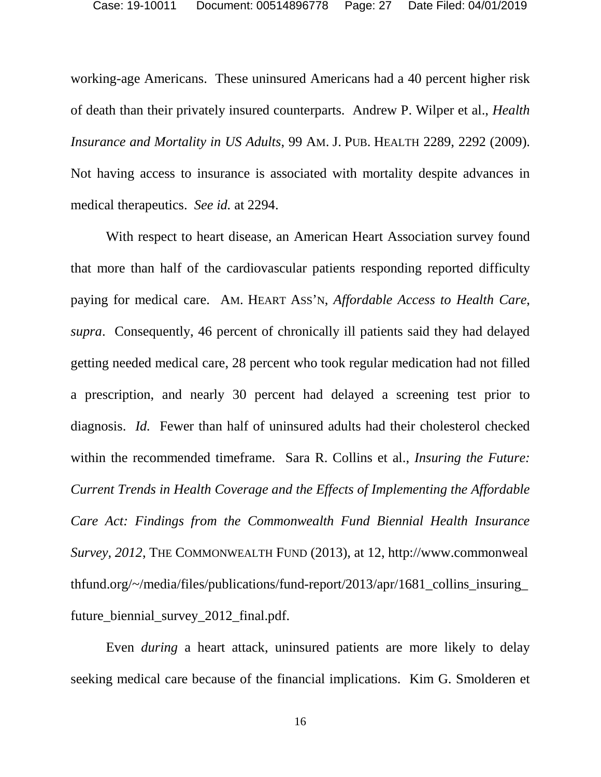<span id="page-26-1"></span>working-age Americans. These uninsured Americans had a 40 percent higher risk of death than their privately insured counterparts. Andrew P. Wilper et al., *Health Insurance and Mortality in US Adults*, 99 AM. J. PUB. HEALTH 2289, 2292 (2009). Not having access to insurance is associated with mortality despite advances in medical therapeutics. *See id.* at 2294.

<span id="page-26-0"></span>With respect to heart disease, an American Heart Association survey found that more than half of the cardiovascular patients responding reported difficulty paying for medical care. AM. HEART ASS'N, *Affordable Access to Health Care*, *supra*. Consequently, 46 percent of chronically ill patients said they had delayed getting needed medical care, 28 percent who took regular medication had not filled a prescription, and nearly 30 percent had delayed a screening test prior to diagnosis. *Id.* Fewer than half of uninsured adults had their cholesterol checked within the recommended timeframe. Sara R. Collins et al., *Insuring the Future: Current Trends in Health Coverage and the Effects of Implementing the Affordable Care Act: Findings from the Commonwealth Fund Biennial Health Insurance Survey, 2012*, THE COMMONWEALTH FUND (2013), at 12, http://www.commonweal thfund.org/~/media/files/publications/fund-report/2013/apr/1681 collins insuring future\_biennial\_survey\_2012\_final.pdf.

<span id="page-26-3"></span><span id="page-26-2"></span>Even *during* a heart attack, uninsured patients are more likely to delay seeking medical care because of the financial implications. Kim G. Smolderen et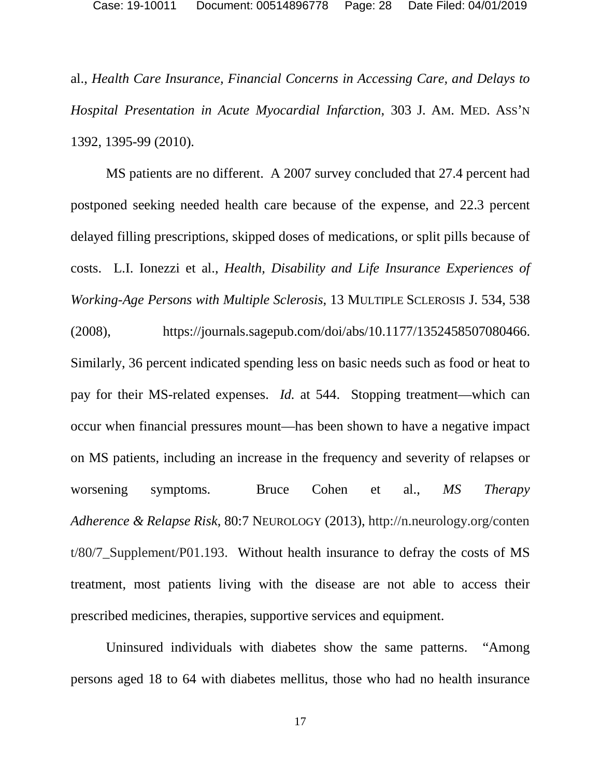al., *Health Care Insurance, Financial Concerns in Accessing Care, and Delays to Hospital Presentation in Acute Myocardial Infarction*, 303 J. AM. MED. ASS'N 1392, 1395-99 (2010).

<span id="page-27-1"></span>MS patients are no different. A 2007 survey concluded that 27.4 percent had postponed seeking needed health care because of the expense, and 22.3 percent delayed filling prescriptions, skipped doses of medications, or split pills because of costs. L.I. Ionezzi et al., *Health, Disability and Life Insurance Experiences of Working-Age Persons with Multiple Sclerosis*, 13 MULTIPLE SCLEROSIS J. 534, 538 (2008), https://journals.sagepub.com/doi/abs/10.1177/1352458507080466. Similarly, 36 percent indicated spending less on basic needs such as food or heat to pay for their MS-related expenses. *Id.* at 544. Stopping treatment—which can occur when financial pressures mount—has been shown to have a negative impact on MS patients, including an increase in the frequency and severity of relapses or worsening symptoms. Bruce Cohen et al., *MS Therapy Adherence & Relapse Risk*, 80:7 NEUROLOGY (2013), http://n.neurology.org/conten t/80/7\_Supplement/P01.193. Without health insurance to defray the costs of MS treatment, most patients living with the disease are not able to access their prescribed medicines, therapies, supportive services and equipment.

<span id="page-27-0"></span>Uninsured individuals with diabetes show the same patterns. "Among persons aged 18 to 64 with diabetes mellitus, those who had no health insurance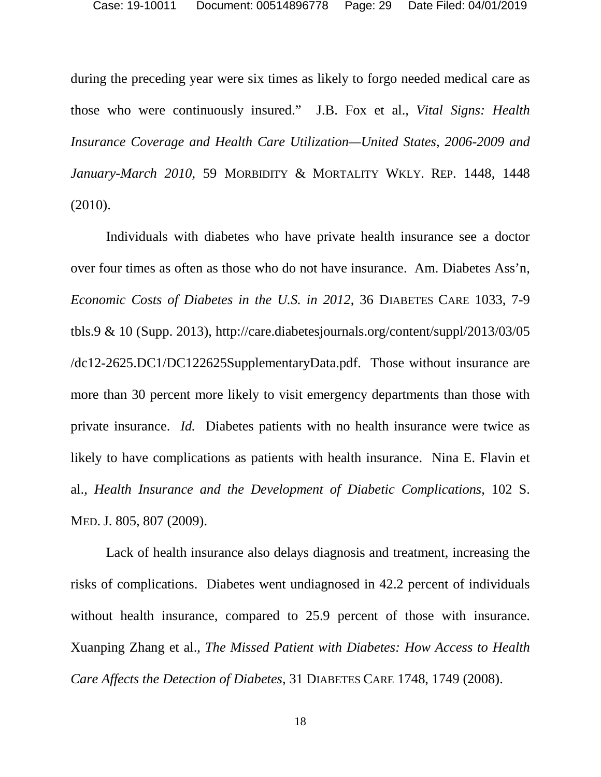<span id="page-28-1"></span>during the preceding year were six times as likely to forgo needed medical care as those who were continuously insured." J.B. Fox et al., *Vital Signs: Health Insurance Coverage and Health Care Utilization—United States, 2006-2009 and January-March 2010*, 59 MORBIDITY & MORTALITY WKLY. REP. 1448, 1448 (2010).

<span id="page-28-0"></span>Individuals with diabetes who have private health insurance see a doctor over four times as often as those who do not have insurance. Am. Diabetes Ass'n, *Economic Costs of Diabetes in the U.S. in 2012*, 36 DIABETES CARE 1033, 7-9 tbls.9 & 10 (Supp. 2013), http://care.diabetesjournals.org/content/suppl/2013/03/05 /dc12-2625.DC1/DC122625SupplementaryData.pdf. Those without insurance are more than 30 percent more likely to visit emergency departments than those with private insurance. *Id.* Diabetes patients with no health insurance were twice as likely to have complications as patients with health insurance. Nina E. Flavin et al., *Health Insurance and the Development of Diabetic Complications*, 102 S. MED.J. 805, 807 (2009).

<span id="page-28-3"></span><span id="page-28-2"></span>Lack of health insurance also delays diagnosis and treatment, increasing the risks of complications. Diabetes went undiagnosed in 42.2 percent of individuals without health insurance, compared to 25.9 percent of those with insurance. Xuanping Zhang et al., *The Missed Patient with Diabetes: How Access to Health Care Affects the Detection of Diabetes*, 31 DIABETES CARE 1748, 1749 (2008).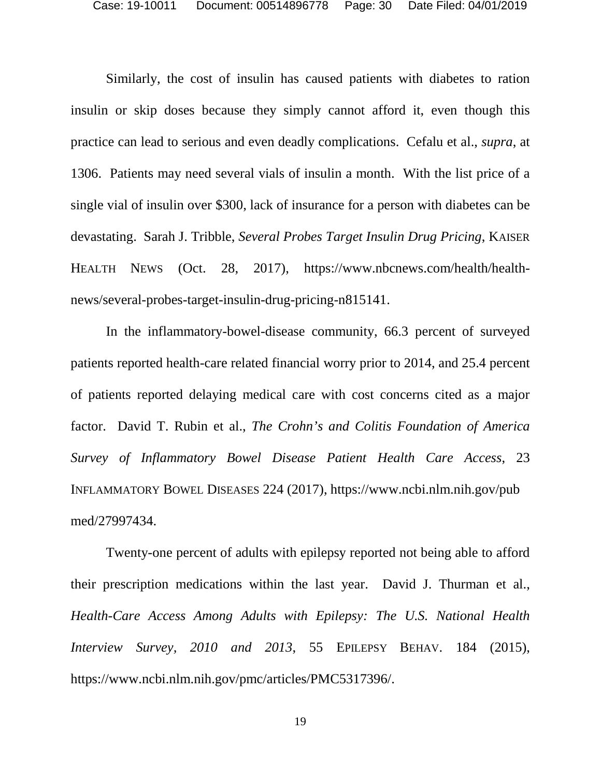<span id="page-29-3"></span>Similarly, the cost of insulin has caused patients with diabetes to ration insulin or skip doses because they simply cannot afford it, even though this practice can lead to serious and even deadly complications. Cefalu et al., *supra*, at 1306. Patients may need several vials of insulin a month. With the list price of a single vial of insulin over \$300, lack of insurance for a person with diabetes can be devastating. Sarah J. Tribble, *Several Probes Target Insulin Drug Pricing*, KAISER HEALTH NEWS (Oct. 28, 2017), https://www.nbcnews.com/health/healthnews/several-probes-target-insulin-drug-pricing-n815141.

<span id="page-29-2"></span><span id="page-29-1"></span>In the inflammatory-bowel-disease community, 66.3 percent of surveyed patients reported health-care related financial worry prior to 2014, and 25.4 percent of patients reported delaying medical care with cost concerns cited as a major factor. David T. Rubin et al., *The Crohn's and Colitis Foundation of America Survey of Inflammatory Bowel Disease Patient Health Care Access*, 23 INFLAMMATORY BOWEL DISEASES 224 (2017), https://www.ncbi.nlm.nih.gov/pub med/27997434.

<span id="page-29-0"></span>Twenty-one percent of adults with epilepsy reported not being able to afford their prescription medications within the last year. David J. Thurman et al., *Health-Care Access Among Adults with Epilepsy: The U.S. National Health Interview Survey, 2010 and 2013*, 55 EPILEPSY BEHAV. 184 (2015), https://www.ncbi.nlm.nih.gov/pmc/articles/PMC5317396/.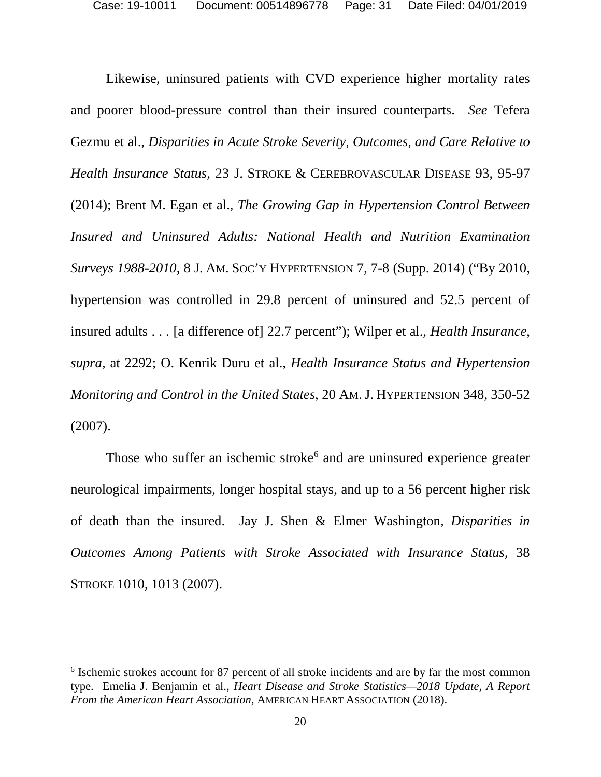<span id="page-30-5"></span><span id="page-30-1"></span>Likewise, uninsured patients with CVD experience higher mortality rates and poorer blood-pressure control than their insured counterparts. *See* Tefera Gezmu et al., *Disparities in Acute Stroke Severity, Outcomes, and Care Relative to Health Insurance Status*, 23 J. STROKE & CEREBROVASCULAR DISEASE 93, 95-97 (2014); Brent M. Egan et al., *The Growing Gap in Hypertension Control Between Insured and Uninsured Adults: National Health and Nutrition Examination Surveys 1988-2010*, 8 J. AM. SOC'Y HYPERTENSION 7, 7-8 (Supp. 2014) ("By 2010, hypertension was controlled in 29.8 percent of uninsured and 52.5 percent of insured adults . . . [a difference of] 22.7 percent"); Wilper et al., *Health Insurance*, *supra*, at 2292; O. Kenrik Duru et al., *Health Insurance Status and Hypertension Monitoring and Control in the United States*, 20 AM.J. HYPERTENSION 348, 350-52 (2007).

<span id="page-30-4"></span><span id="page-30-3"></span><span id="page-30-0"></span>Those who suffer an ischemic stroke<sup> $6$ </sup> and are uninsured experience greater neurological impairments, longer hospital stays, and up to a 56 percent higher risk of death than the insured. Jay J. Shen & Elmer Washington, *Disparities in Outcomes Among Patients with Stroke Associated with Insurance Status*, 38 STROKE 1010, 1013 (2007).

<span id="page-30-6"></span><span id="page-30-2"></span> <sup>6</sup> Ischemic strokes account for 87 percent of all stroke incidents and are by far the most common type. Emelia J. Benjamin et al., *Heart Disease and Stroke Statistics—2018 Update, A Report From the American Heart Association*, AMERICAN HEART ASSOCIATION (2018).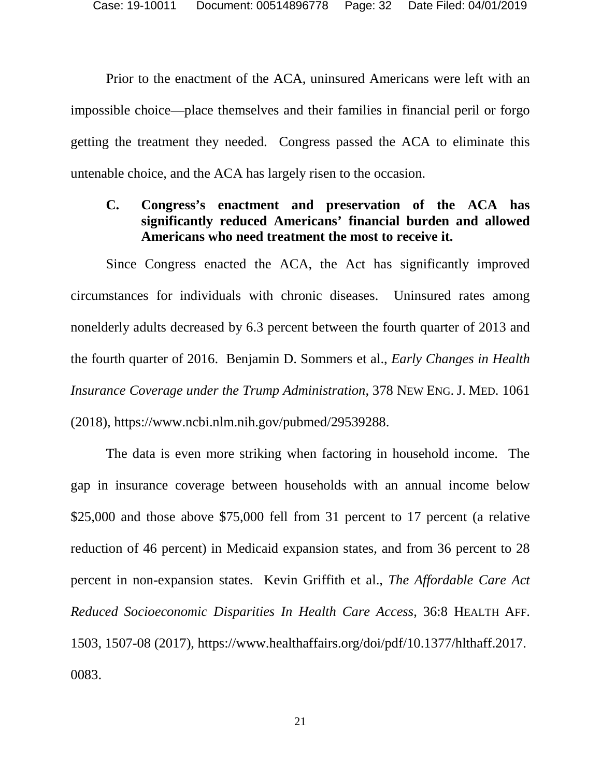Prior to the enactment of the ACA, uninsured Americans were left with an impossible choice—place themselves and their families in financial peril or forgo getting the treatment they needed. Congress passed the ACA to eliminate this untenable choice, and the ACA has largely risen to the occasion.

#### **C. Congress's enactment and preservation of the ACA has significantly reduced Americans' financial burden and allowed Americans who need treatment the most to receive it.**

<span id="page-31-0"></span>Since Congress enacted the ACA, the Act has significantly improved circumstances for individuals with chronic diseases. Uninsured rates among nonelderly adults decreased by 6.3 percent between the fourth quarter of 2013 and the fourth quarter of 2016. Benjamin D. Sommers et al., *Early Changes in Health Insurance Coverage under the Trump Administration*, 378 NEW ENG. J. MED. 1061 (2018), https://www.ncbi.nlm.nih.gov/pubmed/29539288.

<span id="page-31-1"></span>The data is even more striking when factoring in household income. The gap in insurance coverage between households with an annual income below \$25,000 and those above \$75,000 fell from 31 percent to 17 percent (a relative reduction of 46 percent) in Medicaid expansion states, and from 36 percent to 28 percent in non-expansion states. Kevin Griffith et al., *The Affordable Care Act Reduced Socioeconomic Disparities In Health Care Access*, 36:8 HEALTH AFF. 1503, 1507-08 (2017), https://www.healthaffairs.org/doi/pdf/10.1377/hlthaff.2017. 0083.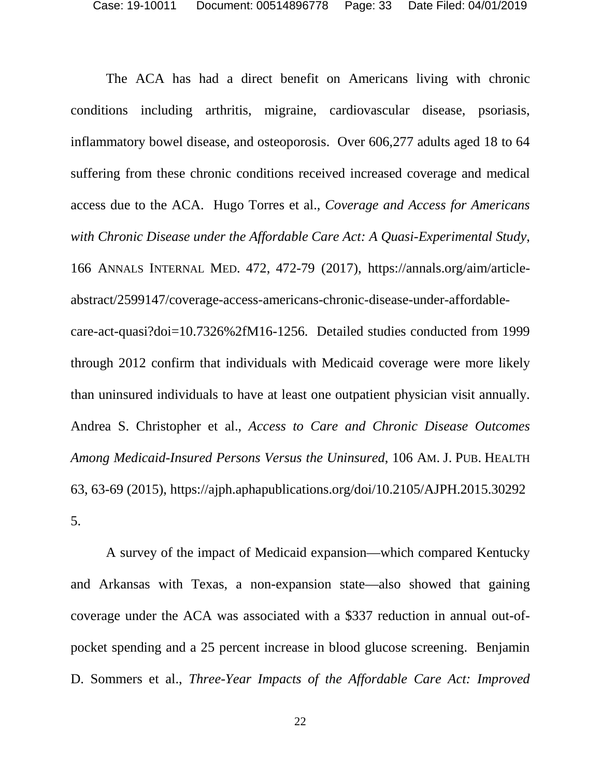<span id="page-32-2"></span>The ACA has had a direct benefit on Americans living with chronic conditions including arthritis, migraine, cardiovascular disease, psoriasis, inflammatory bowel disease, and osteoporosis. Over 606,277 adults aged 18 to 64 suffering from these chronic conditions received increased coverage and medical access due to the ACA. Hugo Torres et al., *Coverage and Access for Americans with Chronic Disease under the Affordable Care Act: A Quasi-Experimental Study*, 166 ANNALS INTERNAL MED. 472, 472-79 (2017), https://annals.org/aim/articleabstract/2599147/coverage-access-americans-chronic-disease-under-affordablecare-act-quasi?doi=10.7326%2fM16-1256. Detailed studies conducted from 1999 through 2012 confirm that individuals with Medicaid coverage were more likely than uninsured individuals to have at least one outpatient physician visit annually. Andrea S. Christopher et al., *Access to Care and Chronic Disease Outcomes Among Medicaid-Insured Persons Versus the Uninsured*, 106 AM. J. PUB. HEALTH 63, 63-69 (2015), https://ajph.aphapublications.org/doi/10.2105/AJPH.2015.30292 5.

<span id="page-32-1"></span><span id="page-32-0"></span>A survey of the impact of Medicaid expansion—which compared Kentucky and Arkansas with Texas, a non-expansion state—also showed that gaining coverage under the ACA was associated with a \$337 reduction in annual out-ofpocket spending and a 25 percent increase in blood glucose screening. Benjamin D. Sommers et al., *Three-Year Impacts of the Affordable Care Act: Improved*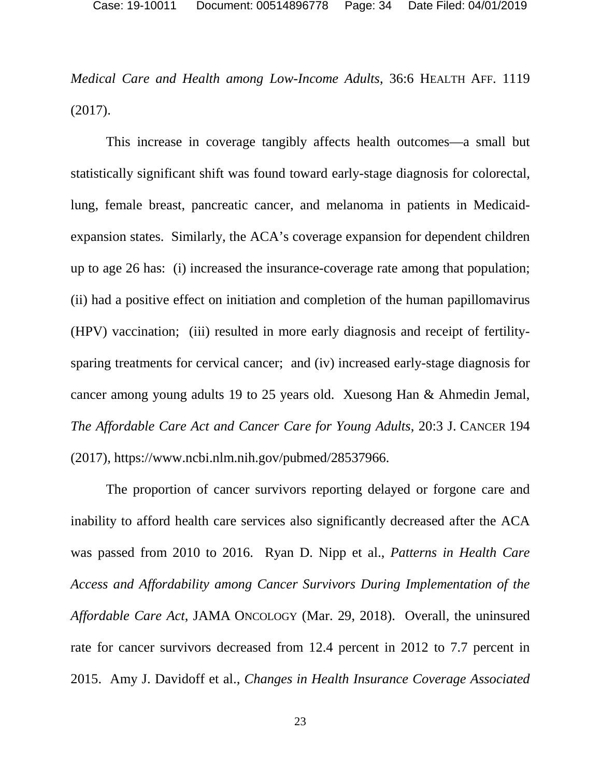*Medical Care and Health among Low-Income Adults*, 36:6 HEALTH AFF. 1119 (2017).

This increase in coverage tangibly affects health outcomes—a small but statistically significant shift was found toward early-stage diagnosis for colorectal, lung, female breast, pancreatic cancer, and melanoma in patients in Medicaidexpansion states. Similarly, the ACA's coverage expansion for dependent children up to age 26 has: (i) increased the insurance-coverage rate among that population; (ii) had a positive effect on initiation and completion of the human papillomavirus (HPV) vaccination; (iii) resulted in more early diagnosis and receipt of fertilitysparing treatments for cervical cancer; and (iv) increased early-stage diagnosis for cancer among young adults 19 to 25 years old. Xuesong Han & Ahmedin Jemal, *The Affordable Care Act and Cancer Care for Young Adults*, 20:3 J. CANCER 194 (2017), https://www.ncbi.nlm.nih.gov/pubmed/28537966.

<span id="page-33-2"></span><span id="page-33-1"></span><span id="page-33-0"></span>The proportion of cancer survivors reporting delayed or forgone care and inability to afford health care services also significantly decreased after the ACA was passed from 2010 to 2016. Ryan D. Nipp et al., *Patterns in Health Care Access and Affordability among Cancer Survivors During Implementation of the Affordable Care Act*, JAMA ONCOLOGY (Mar. 29, 2018). Overall, the uninsured rate for cancer survivors decreased from 12.4 percent in 2012 to 7.7 percent in 2015. Amy J. Davidoff et al., *Changes in Health Insurance Coverage Associated*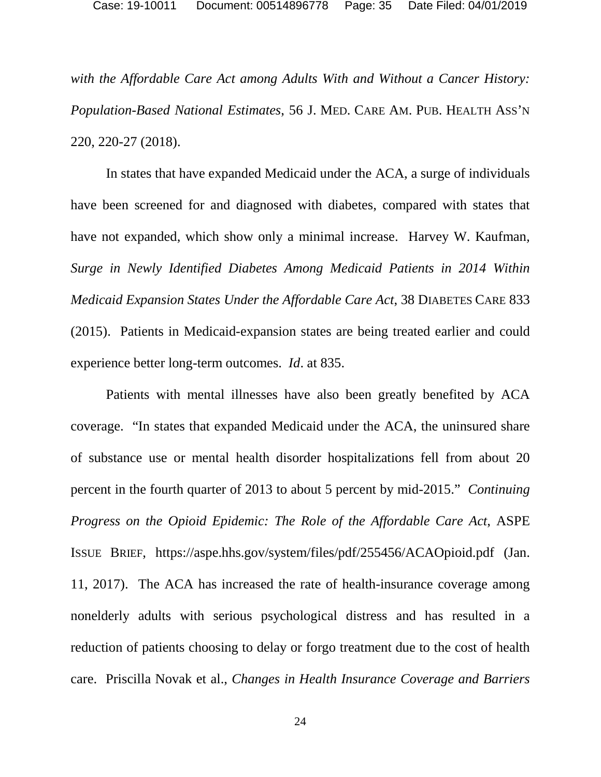*with the Affordable Care Act among Adults With and Without a Cancer History: Population-Based National Estimates*, 56 J. MED. CARE AM. PUB. HEALTH ASS'N 220, 220-27 (2018).

<span id="page-34-1"></span>In states that have expanded Medicaid under the ACA, a surge of individuals have been screened for and diagnosed with diabetes, compared with states that have not expanded, which show only a minimal increase. Harvey W. Kaufman*, Surge in Newly Identified Diabetes Among Medicaid Patients in 2014 Within Medicaid Expansion States Under the Affordable Care Act*, 38 DIABETES CARE 833 (2015). Patients in Medicaid-expansion states are being treated earlier and could experience better long-term outcomes. *Id*. at 835.

<span id="page-34-2"></span><span id="page-34-0"></span>Patients with mental illnesses have also been greatly benefited by ACA coverage. "In states that expanded Medicaid under the ACA, the uninsured share of substance use or mental health disorder hospitalizations fell from about 20 percent in the fourth quarter of 2013 to about 5 percent by mid-2015." *Continuing Progress on the Opioid Epidemic: The Role of the Affordable Care Act*, ASPE ISSUE BRIEF, https://aspe.hhs.gov/system/files/pdf/255456/ACAOpioid.pdf (Jan. 11, 2017). The ACA has increased the rate of health-insurance coverage among nonelderly adults with serious psychological distress and has resulted in a reduction of patients choosing to delay or forgo treatment due to the cost of health care. Priscilla Novak et al., *Changes in Health Insurance Coverage and Barriers*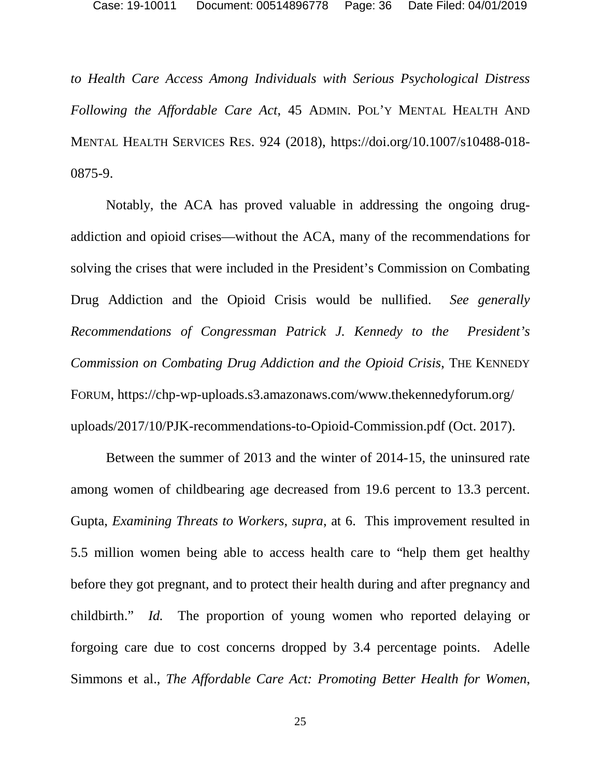*to Health Care Access Among Individuals with Serious Psychological Distress Following the Affordable Care Act*, 45 ADMIN. POL'Y MENTAL HEALTH AND MENTAL HEALTH SERVICES RES. 924 (2018), https://doi.org/10.1007/s10488-018- 0875-9.

<span id="page-35-2"></span>Notably, the ACA has proved valuable in addressing the ongoing drugaddiction and opioid crises—without the ACA, many of the recommendations for solving the crises that were included in the President's Commission on Combating Drug Addiction and the Opioid Crisis would be nullified. *See generally Recommendations of Congressman Patrick J. Kennedy to the President's Commission on Combating Drug Addiction and the Opioid Crisis*, THE KENNEDY FORUM, https://chp-wp-uploads.s3.amazonaws.com/www.thekennedyforum.org/ uploads/2017/10/PJK-recommendations-to-Opioid-Commission.pdf (Oct. 2017).

<span id="page-35-1"></span><span id="page-35-0"></span>Between the summer of 2013 and the winter of 2014-15, the uninsured rate among women of childbearing age decreased from 19.6 percent to 13.3 percent. Gupta, *Examining Threats to Workers*, *supra*, at 6. This improvement resulted in 5.5 million women being able to access health care to "help them get healthy before they got pregnant, and to protect their health during and after pregnancy and childbirth." *Id.* The proportion of young women who reported delaying or forgoing care due to cost concerns dropped by 3.4 percentage points. Adelle Simmons et al., *The Affordable Care Act: Promoting Better Health for Women*,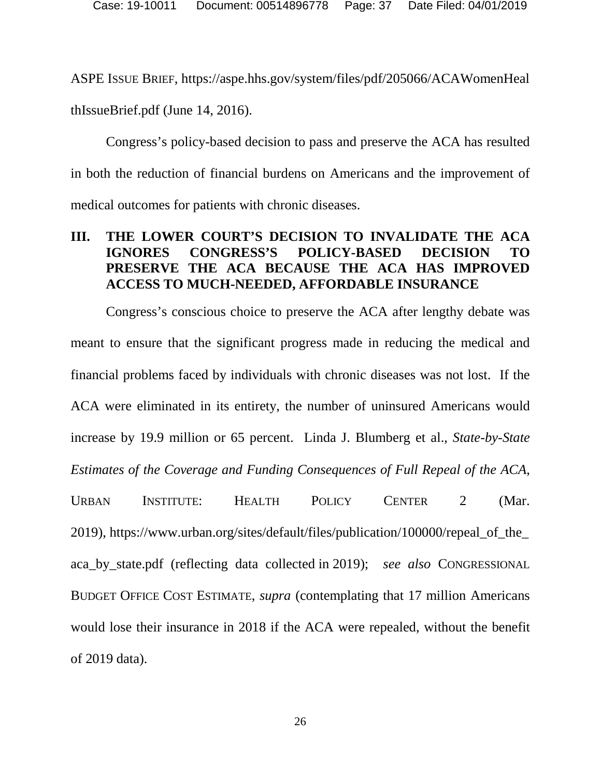ASPE ISSUE BRIEF, https://aspe.hhs.gov/system/files/pdf/205066/ACAWomenHeal thIssueBrief.pdf (June 14, 2016).

Congress's policy-based decision to pass and preserve the ACA has resulted in both the reduction of financial burdens on Americans and the improvement of medical outcomes for patients with chronic diseases.

### **III. THE LOWER COURT'S DECISION TO INVALIDATE THE ACA IGNORES CONGRESS'S POLICY-BASED DECISION TO PRESERVE THE ACA BECAUSE THE ACA HAS IMPROVED ACCESS TO MUCH-NEEDED, AFFORDABLE INSURANCE**

Congress's conscious choice to preserve the ACA after lengthy debate was meant to ensure that the significant progress made in reducing the medical and financial problems faced by individuals with chronic diseases was not lost. If the ACA were eliminated in its entirety, the number of uninsured Americans would increase by 19.9 million or 65 percent. Linda J. Blumberg et al., *State-by-State Estimates of the Coverage and Funding Consequences of Full Repeal of the ACA*,

<span id="page-36-1"></span><span id="page-36-0"></span>URBAN INSTITUTE: HEALTH POLICY CENTER 2 (Mar. 2019), https://www.urban.org/sites/default/files/publication/100000/repeal\_of\_the\_ aca\_by\_state.pdf (reflecting data collected in 2019); *see also* CONGRESSIONAL BUDGET OFFICE COST ESTIMATE, *supra* (contemplating that 17 million Americans would lose their insurance in 2018 if the ACA were repealed, without the benefit of 2019 data).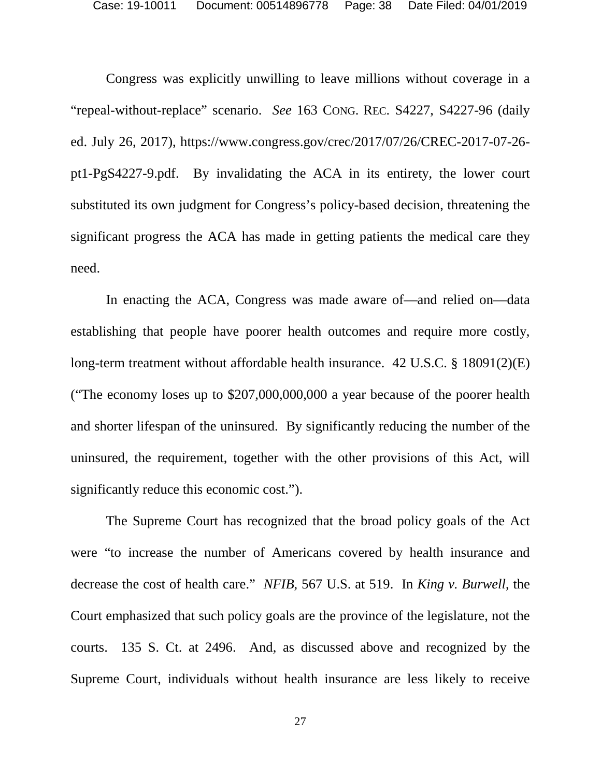<span id="page-37-2"></span>Congress was explicitly unwilling to leave millions without coverage in a "repeal-without-replace" scenario. *See* 163 CONG. REC. S4227, S4227-96 (daily ed. July 26, 2017), https://www.congress.gov/crec/2017/07/26/CREC-2017-07-26 pt1-PgS4227-9.pdf. By invalidating the ACA in its entirety, the lower court substituted its own judgment for Congress's policy-based decision, threatening the significant progress the ACA has made in getting patients the medical care they need.

<span id="page-37-1"></span>In enacting the ACA, Congress was made aware of—and relied on—data establishing that people have poorer health outcomes and require more costly, long-term treatment without affordable health insurance. 42 U.S.C. § 18091(2)(E) ("The economy loses up to \$207,000,000,000 a year because of the poorer health and shorter lifespan of the uninsured. By significantly reducing the number of the uninsured, the requirement, together with the other provisions of this Act, will significantly reduce this economic cost.").

<span id="page-37-0"></span>The Supreme Court has recognized that the broad policy goals of the Act were "to increase the number of Americans covered by health insurance and decrease the cost of health care." *NFIB*, 567 U.S. at 519. In *King v. Burwell*, the Court emphasized that such policy goals are the province of the legislature, not the courts. 135 S. Ct. at 2496. And, as discussed above and recognized by the Supreme Court, individuals without health insurance are less likely to receive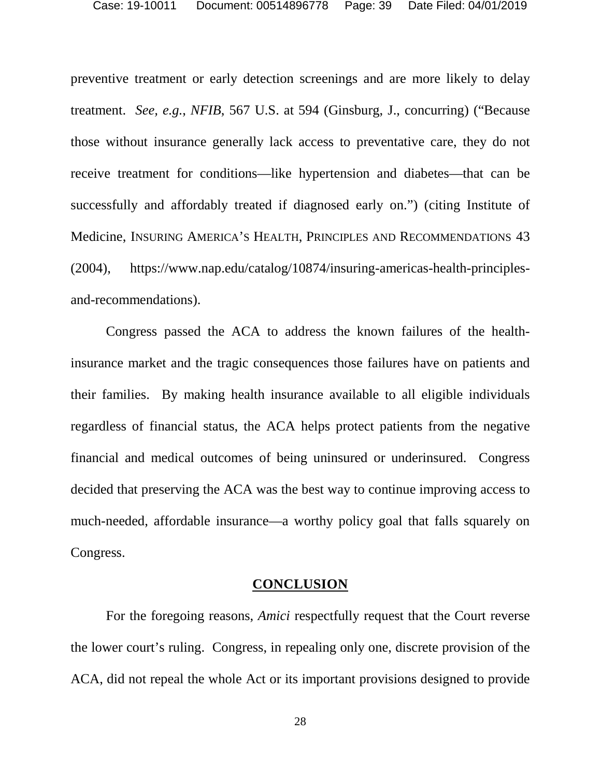<span id="page-38-0"></span>preventive treatment or early detection screenings and are more likely to delay treatment. *See, e.g.*, *NFIB*, 567 U.S. at 594 (Ginsburg, J., concurring) ("Because those without insurance generally lack access to preventative care, they do not receive treatment for conditions—like hypertension and diabetes—that can be successfully and affordably treated if diagnosed early on.") (citing Institute of Medicine, INSURING AMERICA'S HEALTH, PRINCIPLES AND RECOMMENDATIONS 43 (2004), https://www.nap.edu/catalog/10874/insuring-americas-health-principlesand-recommendations).

Congress passed the ACA to address the known failures of the healthinsurance market and the tragic consequences those failures have on patients and their families. By making health insurance available to all eligible individuals regardless of financial status, the ACA helps protect patients from the negative financial and medical outcomes of being uninsured or underinsured. Congress decided that preserving the ACA was the best way to continue improving access to much-needed, affordable insurance—a worthy policy goal that falls squarely on Congress.

#### **CONCLUSION**

For the foregoing reasons, *Amici* respectfully request that the Court reverse the lower court's ruling. Congress, in repealing only one, discrete provision of the ACA, did not repeal the whole Act or its important provisions designed to provide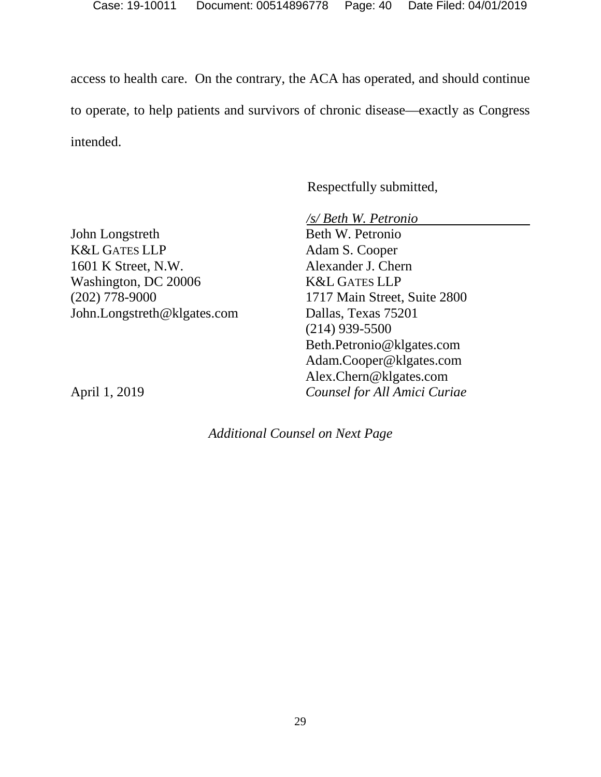access to health care. On the contrary, the ACA has operated, and should continue to operate, to help patients and survivors of chronic disease—exactly as Congress intended.

Respectfully submitted,

*/s/ Beth W. Petronio*

John Longstreth K&L GATES LLP 1601 K Street, N.W. Washington, DC 20006 (202) 778-9000 John.Longstreth@klgates.com

Beth W. Petronio Adam S. Cooper Alexander J. Chern K&L GATES LLP 1717 Main Street, Suite 2800 Dallas, Texas 75201 (214) 939-5500 Beth.Petronio@klgates.com Adam.Cooper@klgates.com Alex.Chern@klgates.com *Counsel for All Amici Curiae*

April 1, 2019

*Additional Counsel on Next Page*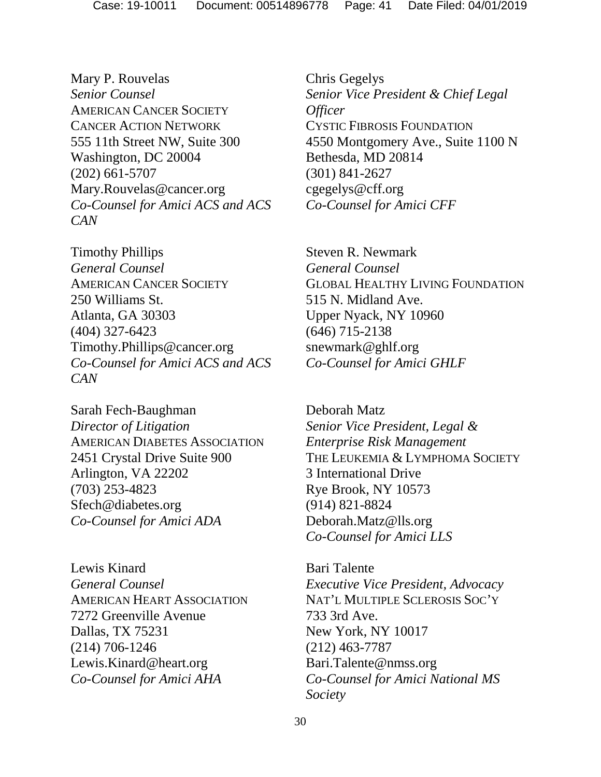Mary P. Rouvelas *Senior Counsel* AMERICAN CANCER SOCIETY CANCER ACTION NETWORK 555 11th Street NW, Suite 300 Washington, DC 20004 (202) 661-5707 Mary.Rouvelas@cancer.org *Co-Counsel for Amici ACS and ACS CAN*

Timothy Phillips *General Counsel* AMERICAN CANCER SOCIETY 250 Williams St. Atlanta, GA 30303 (404) 327-6423 Timothy.Phillips@cancer.org *Co-Counsel for Amici ACS and ACS CAN*

Sarah Fech-Baughman *Director of Litigation* AMERICAN DIABETES ASSOCIATION 2451 Crystal Drive Suite 900 Arlington, VA 22202 (703) 253-4823 Sfech@diabetes.org *Co-Counsel for Amici ADA*

Lewis Kinard *General Counsel* AMERICAN HEART ASSOCIATION 7272 Greenville Avenue Dallas, TX 75231 (214) 706-1246 Lewis.Kinard@heart.org *Co-Counsel for Amici AHA*

Chris Gegelys *Senior Vice President & Chief Legal Officer* CYSTIC FIBROSIS FOUNDATION 4550 Montgomery Ave., Suite 1100 N Bethesda, MD 20814 (301) 841-2627 cgegelys@cff.org *Co-Counsel for Amici CFF*

Steven R. Newmark *General Counsel* GLOBAL HEALTHY LIVING FOUNDATION 515 N. Midland Ave. Upper Nyack, NY 10960 (646) 715-2138 snewmark@ghlf.org *Co-Counsel for Amici GHLF*

Deborah Matz *Senior Vice President, Legal & Enterprise Risk Management* THE LEUKEMIA & LYMPHOMA SOCIETY 3 International Drive Rye Brook, NY 10573 (914) 821-8824 Deborah.Matz@lls.org *Co-Counsel for Amici LLS*

Bari Talente *Executive Vice President, Advocacy* NAT'L MULTIPLE SCLEROSIS SOC'Y 733 3rd Ave. New York, NY 10017 (212) 463-7787 Bari.Talente@nmss.org *Co-Counsel for Amici National MS Society*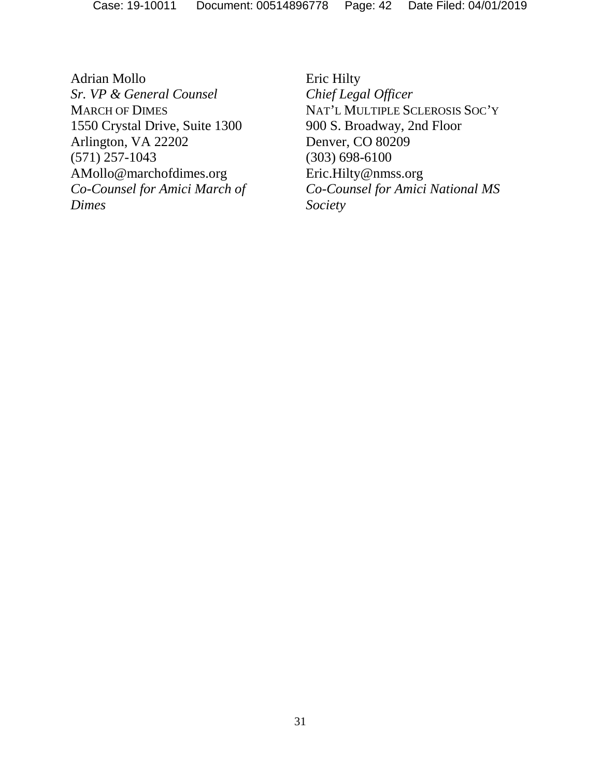Adrian Mollo *Sr. VP & General Counsel* MARCH OF DIMES 1550 Crystal Drive, Suite 1300 Arlington, VA 22202 (571) 257-1043 AMollo@marchofdimes.org *Co-Counsel for Amici March of Dimes*

Eric Hilty *Chief Legal Officer* NAT'L MULTIPLE SCLEROSIS SOC'Y 900 S. Broadway, 2nd Floor Denver, CO 80209 (303) 698-6100 Eric.Hilty@nmss.org *Co-Counsel for Amici National MS Society*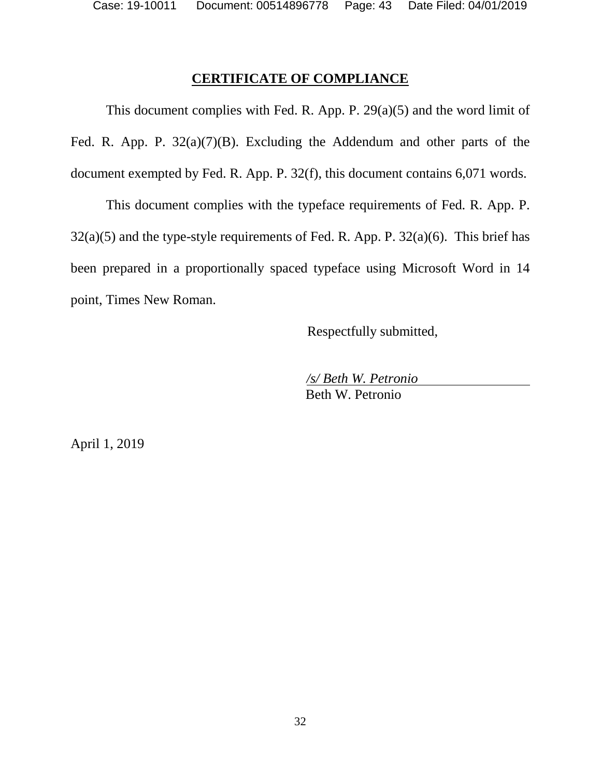## **CERTIFICATE OF COMPLIANCE**

This document complies with Fed. R. App. P.  $29(a)(5)$  and the word limit of Fed. R. App. P. 32(a)(7)(B). Excluding the Addendum and other parts of the document exempted by Fed. R. App. P. 32(f), this document contains 6,071 words.

This document complies with the typeface requirements of Fed. R. App. P. 32(a)(5) and the type-style requirements of Fed. R. App. P. 32(a)(6). This brief has been prepared in a proportionally spaced typeface using Microsoft Word in 14 point, Times New Roman.

Respectfully submitted,

*/s/ Beth W. Petronio* Beth W. Petronio

April 1, 2019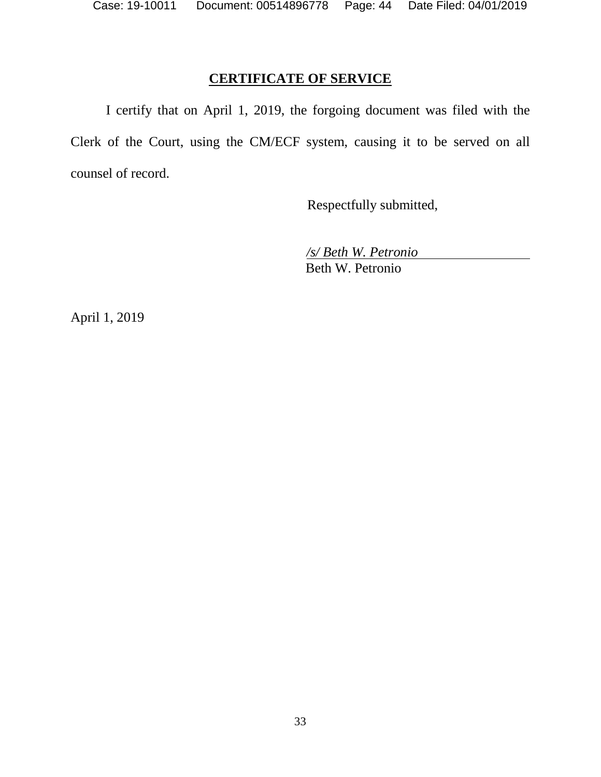## **CERTIFICATE OF SERVICE**

I certify that on April 1, 2019, the forgoing document was filed with the Clerk of the Court, using the CM/ECF system, causing it to be served on all counsel of record.

Respectfully submitted,

*/s/ Beth W. Petronio*

Beth W. Petronio

April 1, 2019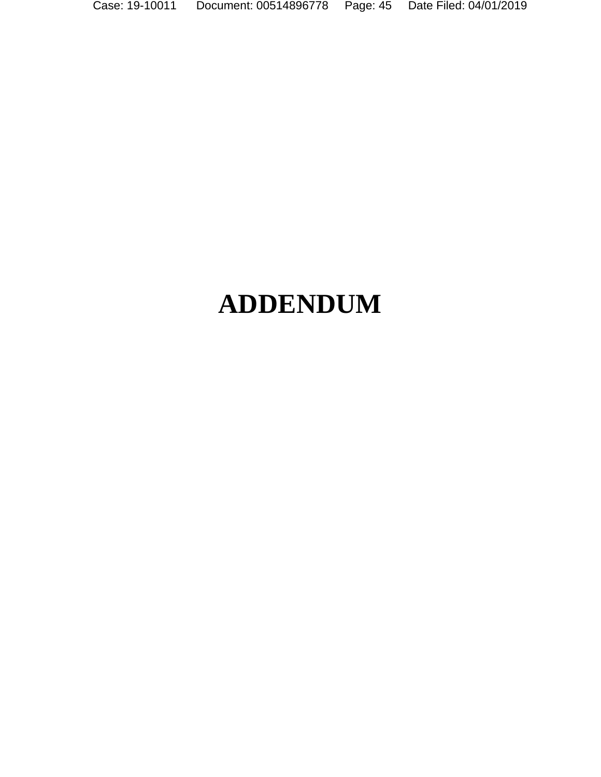Case: 19-10011 Document: 00514896778 Page: 45 Date Filed: 04/01/2019

# **ADDENDUM**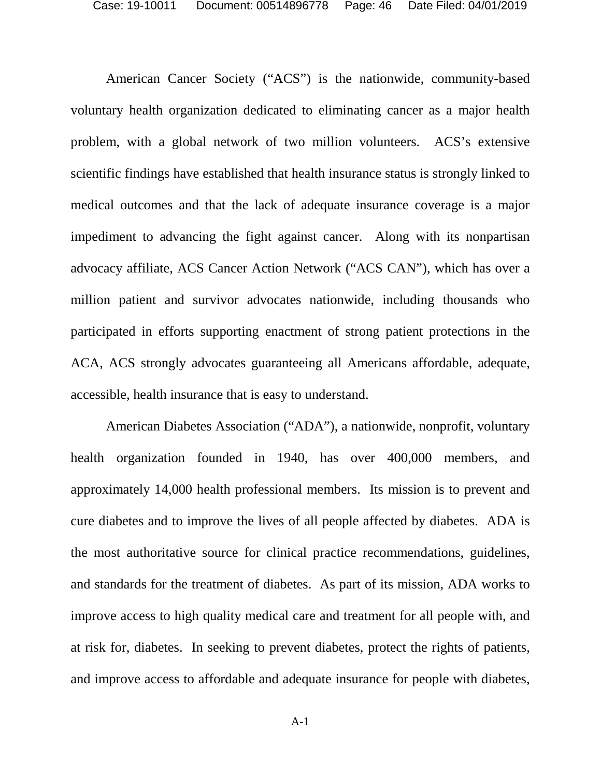American Cancer Society ("ACS") is the nationwide, community-based voluntary health organization dedicated to eliminating cancer as a major health problem, with a global network of two million volunteers. ACS's extensive scientific findings have established that health insurance status is strongly linked to medical outcomes and that the lack of adequate insurance coverage is a major impediment to advancing the fight against cancer. Along with its nonpartisan advocacy affiliate, ACS Cancer Action Network ("ACS CAN"), which has over a million patient and survivor advocates nationwide, including thousands who participated in efforts supporting enactment of strong patient protections in the ACA, ACS strongly advocates guaranteeing all Americans affordable, adequate, accessible, health insurance that is easy to understand.

American Diabetes Association ("ADA"), a nationwide, nonprofit, voluntary health organization founded in 1940, has over 400,000 members, and approximately 14,000 health professional members. Its mission is to prevent and cure diabetes and to improve the lives of all people affected by diabetes. ADA is the most authoritative source for clinical practice recommendations, guidelines, and standards for the treatment of diabetes. As part of its mission, ADA works to improve access to high quality medical care and treatment for all people with, and at risk for, diabetes. In seeking to prevent diabetes, protect the rights of patients, and improve access to affordable and adequate insurance for people with diabetes,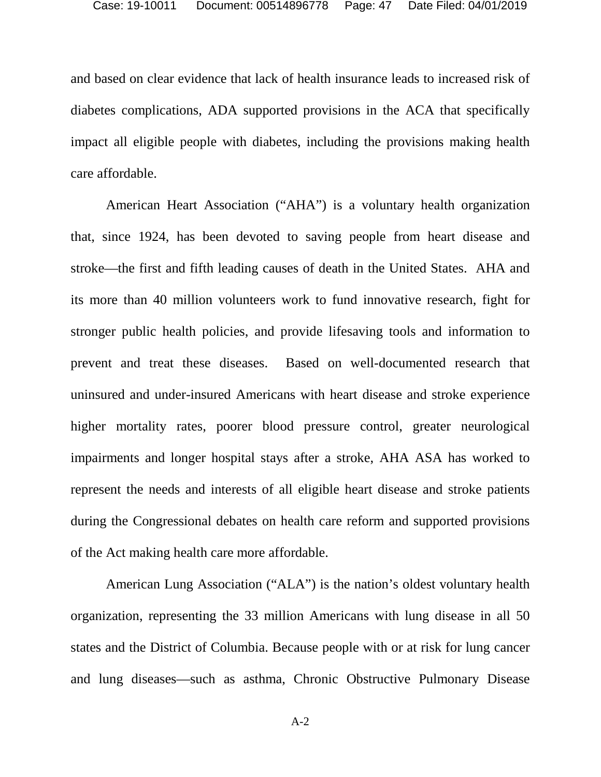and based on clear evidence that lack of health insurance leads to increased risk of diabetes complications, ADA supported provisions in the ACA that specifically impact all eligible people with diabetes, including the provisions making health care affordable.

American Heart Association ("AHA") is a voluntary health organization that, since 1924, has been devoted to saving people from heart disease and stroke—the first and fifth leading causes of death in the United States. AHA and its more than 40 million volunteers work to fund innovative research, fight for stronger public health policies, and provide lifesaving tools and information to prevent and treat these diseases. Based on well-documented research that uninsured and under-insured Americans with heart disease and stroke experience higher mortality rates, poorer blood pressure control, greater neurological impairments and longer hospital stays after a stroke, AHA ASA has worked to represent the needs and interests of all eligible heart disease and stroke patients during the Congressional debates on health care reform and supported provisions of the Act making health care more affordable.

American Lung Association ("ALA") is the nation's oldest voluntary health organization, representing the 33 million Americans with lung disease in all 50 states and the District of Columbia. Because people with or at risk for lung cancer and lung diseases—such as asthma, Chronic Obstructive Pulmonary Disease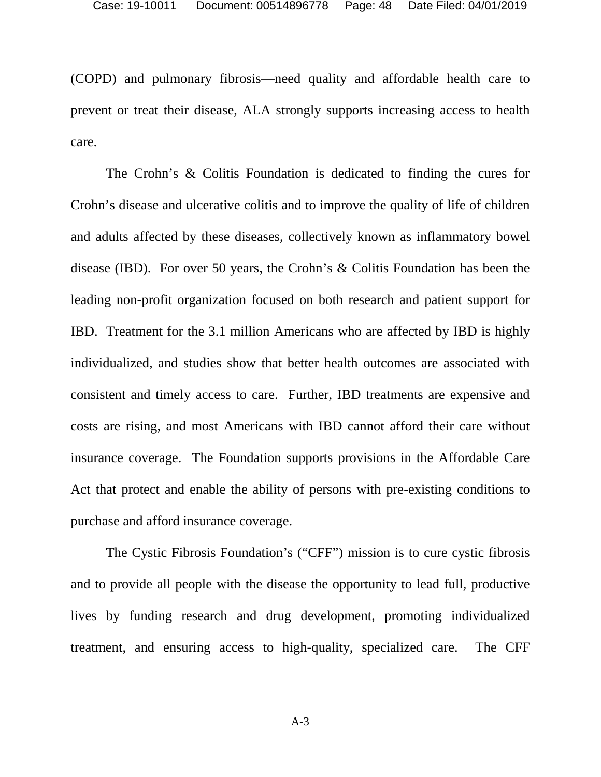(COPD) and pulmonary fibrosis—need quality and affordable health care to prevent or treat their disease, ALA strongly supports increasing access to health care.

The Crohn's & Colitis Foundation is dedicated to finding the cures for Crohn's disease and ulcerative colitis and to improve the quality of life of children and adults affected by these diseases, collectively known as inflammatory bowel disease (IBD). For over 50 years, the Crohn's & Colitis Foundation has been the leading non-profit organization focused on both research and patient support for IBD. Treatment for the 3.1 million Americans who are affected by IBD is highly individualized, and studies show that better health outcomes are associated with consistent and timely access to care. Further, IBD treatments are expensive and costs are rising, and most Americans with IBD cannot afford their care without insurance coverage. The Foundation supports provisions in the Affordable Care Act that protect and enable the ability of persons with pre-existing conditions to purchase and afford insurance coverage.

The Cystic Fibrosis Foundation's ("CFF") mission is to cure cystic fibrosis and to provide all people with the disease the opportunity to lead full, productive lives by funding research and drug development, promoting individualized treatment, and ensuring access to high-quality, specialized care. The CFF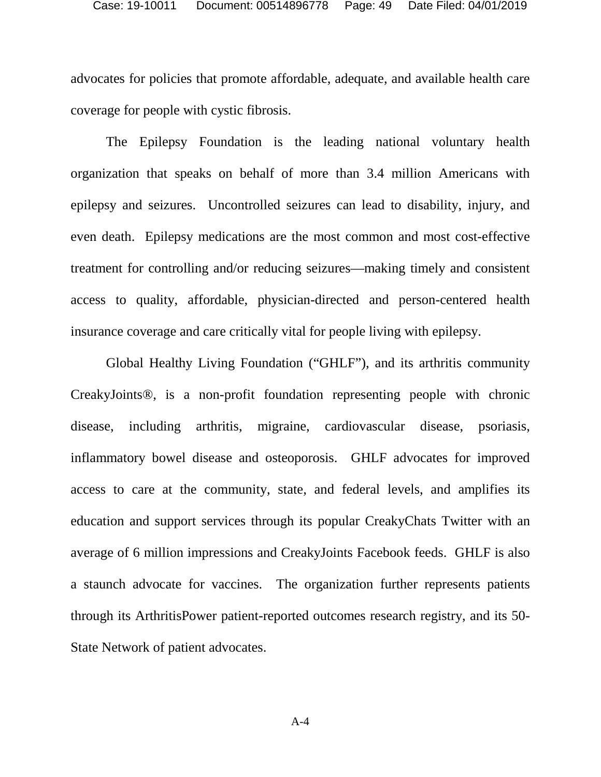advocates for policies that promote affordable, adequate, and available health care coverage for people with cystic fibrosis.

The Epilepsy Foundation is the leading national voluntary health organization that speaks on behalf of more than 3.4 million Americans with epilepsy and seizures. Uncontrolled seizures can lead to disability, injury, and even death. Epilepsy medications are the most common and most cost-effective treatment for controlling and/or reducing seizures—making timely and consistent access to quality, affordable, physician-directed and person-centered health insurance coverage and care critically vital for people living with epilepsy.

Global Healthy Living Foundation ("GHLF"), and its arthritis community CreakyJoints®, is a non-profit foundation representing people with chronic disease, including arthritis, migraine, cardiovascular disease, psoriasis, inflammatory bowel disease and osteoporosis. GHLF advocates for improved access to care at the community, state, and federal levels, and amplifies its education and support services through its popular CreakyChats Twitter with an average of 6 million impressions and CreakyJoints Facebook feeds. GHLF is also a staunch advocate for vaccines. The organization further represents patients through its ArthritisPower patient-reported outcomes research registry, and its 50- State Network of patient advocates.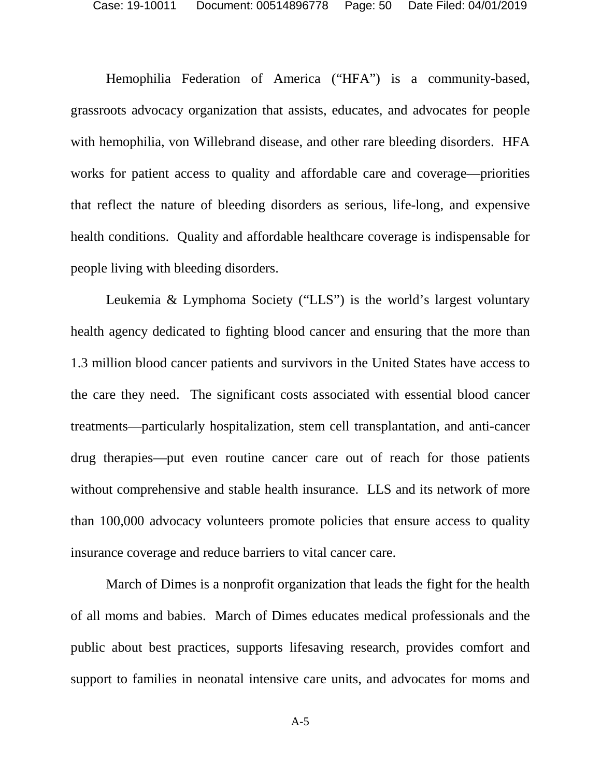Hemophilia Federation of America ("HFA") is a community-based, grassroots advocacy organization that assists, educates, and advocates for people with hemophilia, von Willebrand disease, and other rare bleeding disorders. HFA works for patient access to quality and affordable care and coverage—priorities that reflect the nature of bleeding disorders as serious, life-long, and expensive health conditions. Quality and affordable healthcare coverage is indispensable for people living with bleeding disorders.

Leukemia & Lymphoma Society ("LLS") is the world's largest voluntary health agency dedicated to fighting blood cancer and ensuring that the more than 1.3 million blood cancer patients and survivors in the United States have access to the care they need. The significant costs associated with essential blood cancer treatments—particularly hospitalization, stem cell transplantation, and anti-cancer drug therapies—put even routine cancer care out of reach for those patients without comprehensive and stable health insurance. LLS and its network of more than 100,000 advocacy volunteers promote policies that ensure access to quality insurance coverage and reduce barriers to vital cancer care.

March of Dimes is a nonprofit organization that leads the fight for the health of all moms and babies. March of Dimes educates medical professionals and the public about best practices, supports lifesaving research, provides comfort and support to families in neonatal intensive care units, and advocates for moms and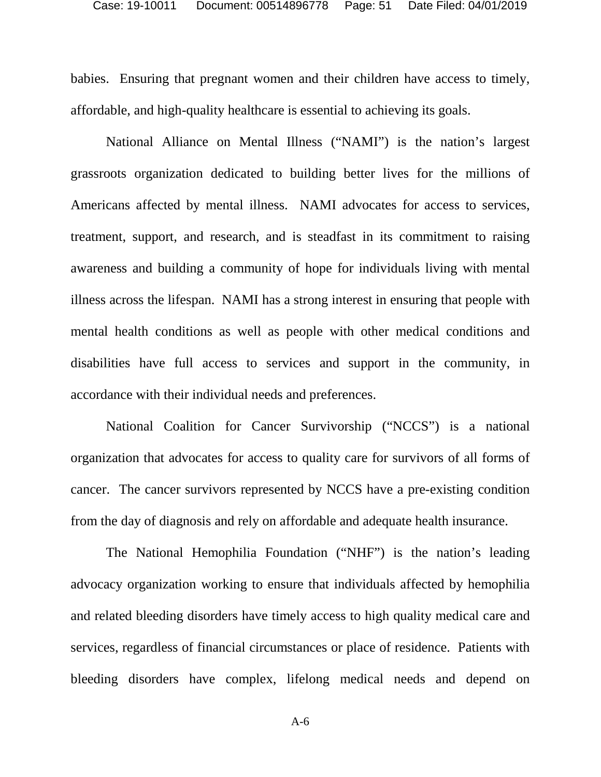babies. Ensuring that pregnant women and their children have access to timely, affordable, and high-quality healthcare is essential to achieving its goals.

National Alliance on Mental Illness ("NAMI") is the nation's largest grassroots organization dedicated to building better lives for the millions of Americans affected by mental illness. NAMI advocates for access to services, treatment, support, and research, and is steadfast in its commitment to raising awareness and building a community of hope for individuals living with mental illness across the lifespan. NAMI has a strong interest in ensuring that people with mental health conditions as well as people with other medical conditions and disabilities have full access to services and support in the community, in accordance with their individual needs and preferences.

National Coalition for Cancer Survivorship ("NCCS") is a national organization that advocates for access to quality care for survivors of all forms of cancer. The cancer survivors represented by NCCS have a pre-existing condition from the day of diagnosis and rely on affordable and adequate health insurance.

The National Hemophilia Foundation ("NHF") is the nation's leading advocacy organization working to ensure that individuals affected by hemophilia and related bleeding disorders have timely access to high quality medical care and services, regardless of financial circumstances or place of residence. Patients with bleeding disorders have complex, lifelong medical needs and depend on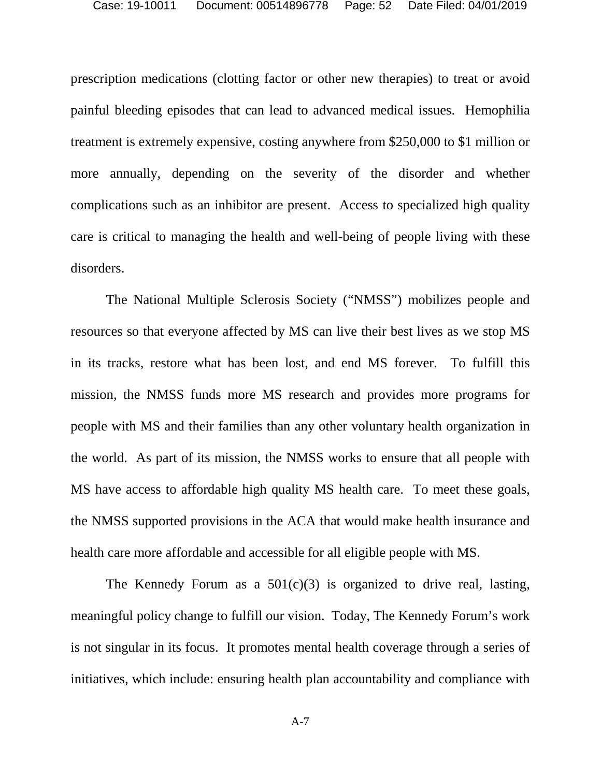prescription medications (clotting factor or other new therapies) to treat or avoid painful bleeding episodes that can lead to advanced medical issues. Hemophilia treatment is extremely expensive, costing anywhere from \$250,000 to \$1 million or more annually, depending on the severity of the disorder and whether complications such as an inhibitor are present. Access to specialized high quality care is critical to managing the health and well-being of people living with these disorders.

The National Multiple Sclerosis Society ("NMSS") mobilizes people and resources so that everyone affected by MS can live their best lives as we stop MS in its tracks, restore what has been lost, and end MS forever. To fulfill this mission, the NMSS funds more MS research and provides more programs for people with MS and their families than any other voluntary health organization in the world. As part of its mission, the NMSS works to ensure that all people with MS have access to affordable high quality MS health care. To meet these goals, the NMSS supported provisions in the ACA that would make health insurance and health care more affordable and accessible for all eligible people with MS.

The Kennedy Forum as a  $501(c)(3)$  is organized to drive real, lasting, meaningful policy change to fulfill our vision. Today, The Kennedy Forum's work is not singular in its focus. It promotes mental health coverage through a series of initiatives, which include: ensuring health plan accountability and compliance with